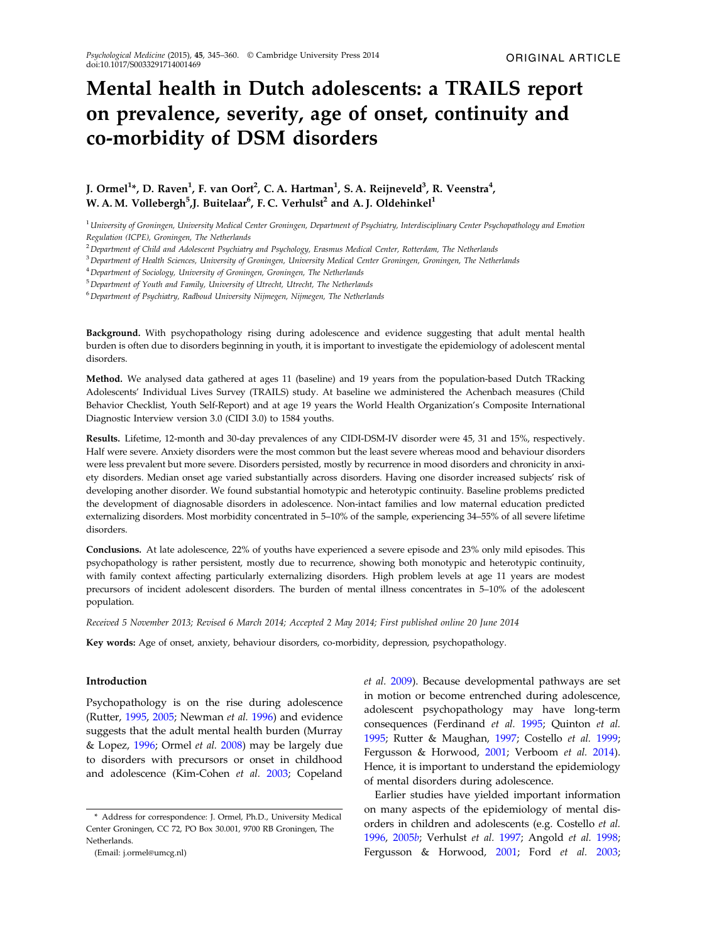# Mental health in Dutch adolescents: a TRAILS report on prevalence, severity, age of onset, continuity and co-morbidity of DSM disorders

# J. Ormel<sup>1</sup>\*, D. Raven<sup>1</sup>, F. van Oort<sup>2</sup>, C. A. Hartman<sup>1</sup>, S. A. Reijneveld<sup>3</sup>, R. Veenstra<sup>4</sup>, W. A. M. Vollebergh $^5$ ,J. Buitelaar $^6$ , F. C. Verhulst $^2$  and A. J. Oldehinkel $^1$

<sup>1</sup> University of Groningen, University Medical Center Groningen, Department of Psychiatry, Interdisciplinary Center Psychopathology and Emotion Regulation (ICPE), Groningen, The Netherlands

<sup>2</sup> Department of Child and Adolescent Psychiatry and Psychology, Erasmus Medical Center, Rotterdam, The Netherlands

<sup>3</sup> Department of Health Sciences, University of Groningen, University Medical Center Groningen, Groningen, The Netherlands

<sup>4</sup> Department of Sociology, University of Groningen, Groningen, The Netherlands

<sup>5</sup>Department of Youth and Family, University of Utrecht, Utrecht, The Netherlands

<sup>6</sup>Department of Psychiatry, Radboud University Nijmegen, Nijmegen, The Netherlands

Background. With psychopathology rising during adolescence and evidence suggesting that adult mental health burden is often due to disorders beginning in youth, it is important to investigate the epidemiology of adolescent mental disorders.

Method. We analysed data gathered at ages 11 (baseline) and 19 years from the population-based Dutch TRacking Adolescents' Individual Lives Survey (TRAILS) study. At baseline we administered the Achenbach measures (Child Behavior Checklist, Youth Self-Report) and at age 19 years the World Health Organization's Composite International Diagnostic Interview version 3.0 (CIDI 3.0) to 1584 youths.

Results. Lifetime, 12-month and 30-day prevalences of any CIDI-DSM-IV disorder were 45, 31 and 15%, respectively. Half were severe. Anxiety disorders were the most common but the least severe whereas mood and behaviour disorders were less prevalent but more severe. Disorders persisted, mostly by recurrence in mood disorders and chronicity in anxiety disorders. Median onset age varied substantially across disorders. Having one disorder increased subjects' risk of developing another disorder. We found substantial homotypic and heterotypic continuity. Baseline problems predicted the development of diagnosable disorders in adolescence. Non-intact families and low maternal education predicted externalizing disorders. Most morbidity concentrated in 5–10% of the sample, experiencing 34–55% of all severe lifetime disorders.

Conclusions. At late adolescence, 22% of youths have experienced a severe episode and 23% only mild episodes. This psychopathology is rather persistent, mostly due to recurrence, showing both monotypic and heterotypic continuity, with family context affecting particularly externalizing disorders. High problem levels at age 11 years are modest precursors of incident adolescent disorders. The burden of mental illness concentrates in 5–10% of the adolescent population.

Received 5 November 2013; Revised 6 March 2014; Accepted 2 May 2014; First published online 20 June 2014

Key words: Age of onset, anxiety, behaviour disorders, co-morbidity, depression, psychopathology.

# Introduction

Psychopathology is on the rise during adolescence (Rutter, [1995,](#page-14-0) [2005;](#page-14-0) Newman et al. [1996](#page-14-0)) and evidence suggests that the adult mental health burden (Murray & Lopez, [1996;](#page-14-0) Ormel et al. [2008](#page-14-0)) may be largely due to disorders with precursors or onset in childhood and adolescence (Kim-Cohen et al. [2003;](#page-13-0) Copeland et al. [2009](#page-12-0)). Because developmental pathways are set in motion or become entrenched during adolescence, adolescent psychopathology may have long-term consequences (Ferdinand et al. [1995](#page-13-0); Quinton et al. [1995;](#page-14-0) Rutter & Maughan, [1997](#page-14-0); Costello et al. [1999](#page-12-0); Fergusson & Horwood, [2001;](#page-13-0) Verboom et al. [2014](#page-14-0)). Hence, it is important to understand the epidemiology of mental disorders during adolescence.

Earlier studies have yielded important information on many aspects of the epidemiology of mental disorders in children and adolescents (e.g. Costello et al. [1996,](#page-12-0) [2005](#page-12-0)b; Verhulst et al. [1997;](#page-15-0) Angold et al. [1998](#page-12-0); Fergusson & Horwood, [2001;](#page-13-0) Ford et al. [2003](#page-13-0);

<sup>\*</sup> Address for correspondence: J. Ormel, Ph.D., University Medical Center Groningen, CC 72, PO Box 30.001, 9700 RB Groningen, The Netherlands.

<sup>(</sup>Email: j.ormel@umcg.nl)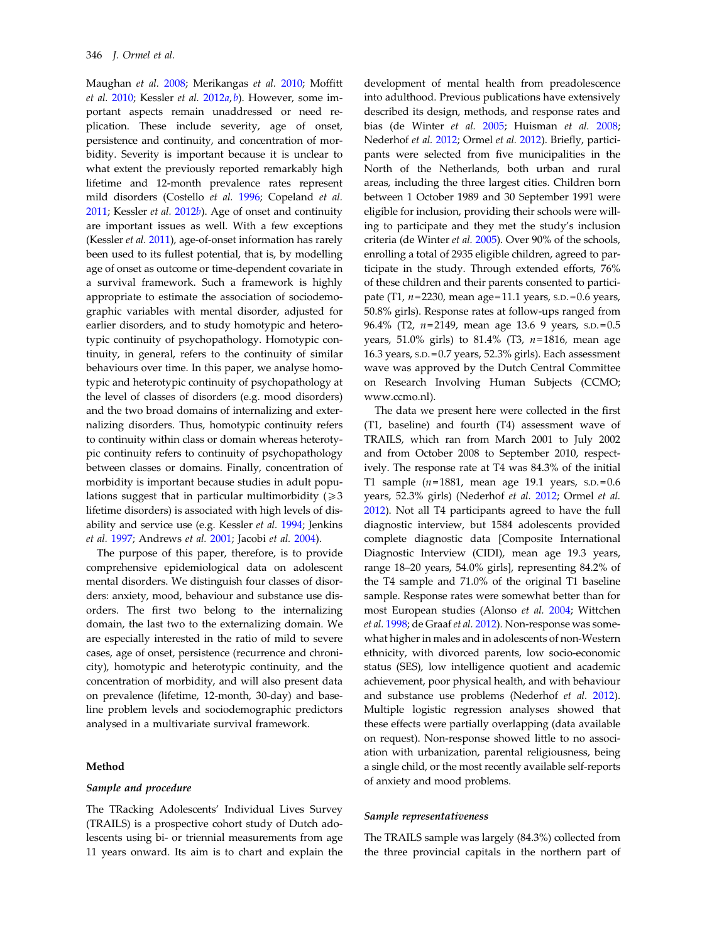Maughan et al. [2008](#page-14-0); Merikangas et al. [2010;](#page-14-0) Moffitt et al.  $2010$ ; Kessler et al.  $2012a$  $2012a$ , [b](#page-13-0)). However, some important aspects remain unaddressed or need replication. These include severity, age of onset, persistence and continuity, and concentration of morbidity. Severity is important because it is unclear to what extent the previously reported remarkably high lifetime and 12-month prevalence rates represent mild disorders (Costello et al. [1996](#page-12-0); Copeland et al. [2011;](#page-12-0) Kessler et al. [2012](#page-13-0)b). Age of onset and continuity are important issues as well. With a few exceptions (Kessler et al. [2011](#page-13-0)), age-of-onset information has rarely been used to its fullest potential, that is, by modelling age of onset as outcome or time-dependent covariate in a survival framework. Such a framework is highly appropriate to estimate the association of sociodemographic variables with mental disorder, adjusted for earlier disorders, and to study homotypic and heterotypic continuity of psychopathology. Homotypic continuity, in general, refers to the continuity of similar behaviours over time. In this paper, we analyse homotypic and heterotypic continuity of psychopathology at the level of classes of disorders (e.g. mood disorders) and the two broad domains of internalizing and externalizing disorders. Thus, homotypic continuity refers to continuity within class or domain whereas heterotypic continuity refers to continuity of psychopathology between classes or domains. Finally, concentration of morbidity is important because studies in adult populations suggest that in particular multimorbidity  $(2)$ 3 lifetime disorders) is associated with high levels of disability and service use (e.g. Kessler et al. [1994;](#page-13-0) Jenkins et al. [1997;](#page-13-0) Andrews et al. [2001](#page-12-0); Jacobi et al. [2004\)](#page-13-0).

The purpose of this paper, therefore, is to provide comprehensive epidemiological data on adolescent mental disorders. We distinguish four classes of disorders: anxiety, mood, behaviour and substance use disorders. The first two belong to the internalizing domain, the last two to the externalizing domain. We are especially interested in the ratio of mild to severe cases, age of onset, persistence (recurrence and chronicity), homotypic and heterotypic continuity, and the concentration of morbidity, and will also present data on prevalence (lifetime, 12-month, 30-day) and baseline problem levels and sociodemographic predictors analysed in a multivariate survival framework.

## Method

#### Sample and procedure

The TRacking Adolescents' Individual Lives Survey (TRAILS) is a prospective cohort study of Dutch adolescents using bi- or triennial measurements from age 11 years onward. Its aim is to chart and explain the

development of mental health from preadolescence into adulthood. Previous publications have extensively described its design, methods, and response rates and bias (de Winter et al. [2005;](#page-12-0) Huisman et al. [2008](#page-13-0); Nederhof et al. [2012](#page-14-0); Ormel et al. [2012\)](#page-14-0). Briefly, participants were selected from five municipalities in the North of the Netherlands, both urban and rural areas, including the three largest cities. Children born between 1 October 1989 and 30 September 1991 were eligible for inclusion, providing their schools were willing to participate and they met the study's inclusion criteria (de Winter et al. [2005\)](#page-12-0). Over 90% of the schools, enrolling a total of 2935 eligible children, agreed to participate in the study. Through extended efforts, 76% of these children and their parents consented to participate (T1,  $n = 2230$ , mean age = 11.1 years, s.p. = 0.6 years, 50.8% girls). Response rates at follow-ups ranged from 96.4% (T2, n=2149, mean age 13.6 9 years, s.p.=0.5 years, 51.0% girls) to 81.4% (T3,  $n=1816$ , mean age 16.3 years, S.D. = 0.7 years, 52.3% girls). Each assessment wave was approved by the Dutch Central Committee on Research Involving Human Subjects (CCMO; www.ccmo.nl).

The data we present here were collected in the first (T1, baseline) and fourth (T4) assessment wave of TRAILS, which ran from March 2001 to July 2002 and from October 2008 to September 2010, respectively. The response rate at T4 was 84.3% of the initial T1 sample  $(n=1881,$  mean age 19.1 years, s.p.=0.6 years, 52.3% girls) (Nederhof et al. [2012](#page-14-0); Ormel et al. [2012\)](#page-14-0). Not all T4 participants agreed to have the full diagnostic interview, but 1584 adolescents provided complete diagnostic data [Composite International Diagnostic Interview (CIDI), mean age 19.3 years, range 18–20 years, 54.0% girls], representing 84.2% of the T4 sample and 71.0% of the original T1 baseline sample. Response rates were somewhat better than for most European studies (Alonso et al. [2004;](#page-12-0) Wittchen et al. [1998;](#page-15-0) de Graaf et al. [2012](#page-12-0)). Non-response was somewhat higher in males and in adolescents of non-Western ethnicity, with divorced parents, low socio-economic status (SES), low intelligence quotient and academic achievement, poor physical health, and with behaviour and substance use problems (Nederhof et al. [2012](#page-14-0)). Multiple logistic regression analyses showed that these effects were partially overlapping (data available on request). Non-response showed little to no association with urbanization, parental religiousness, being a single child, or the most recently available self-reports of anxiety and mood problems.

## Sample representativeness

The TRAILS sample was largely (84.3%) collected from the three provincial capitals in the northern part of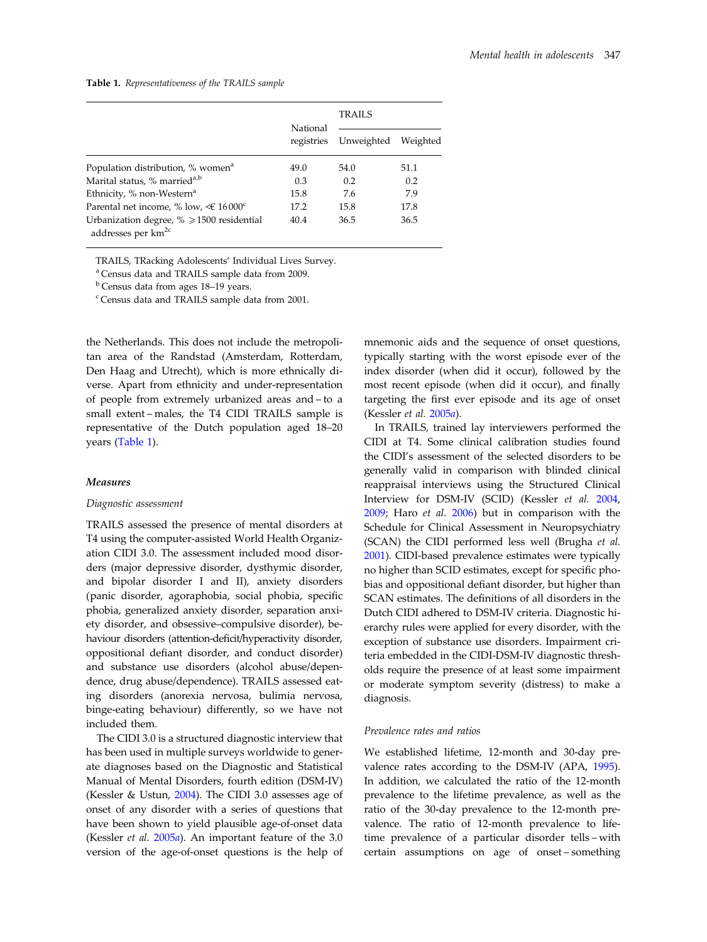Table 1. Representativeness of the TRAILS sample

|                                                                                  |                        | <b>TRAILS</b> |          |  |
|----------------------------------------------------------------------------------|------------------------|---------------|----------|--|
|                                                                                  | National<br>registries | Unweighted    | Weighted |  |
| Population distribution, % women <sup>a</sup>                                    | 49.0                   | 54.0          | 51.1     |  |
| Marital status, % married <sup>a,b</sup>                                         | 0.3                    | 0.2           | 0.2      |  |
| Ethnicity, % non-Western <sup>a</sup>                                            | 15.8                   | 7.6           | 7.9      |  |
| Parental net income, % low, $\leq 16000^{\circ}$                                 | 17.2                   | 15.8          | 17.8     |  |
| Urbanization degree, $\% \ge 1500$ residential<br>addresses per km <sup>2c</sup> | 40.4                   | 36.5          | 36.5     |  |

TRAILS, TRacking Adolescents' Individual Lives Survey.

<sup>a</sup> Census data and TRAILS sample data from 2009.

<sup>b</sup> Census data from ages 18–19 years.

<sup>c</sup> Census data and TRAILS sample data from 2001.

the Netherlands. This does not include the metropolitan area of the Randstad (Amsterdam, Rotterdam, Den Haag and Utrecht), which is more ethnically diverse. Apart from ethnicity and under-representation of people from extremely urbanized areas and – to a small extent – males, the T4 CIDI TRAILS sample is representative of the Dutch population aged 18–20 years (Table 1).

#### Measures

#### Diagnostic assessment

TRAILS assessed the presence of mental disorders at T4 using the computer-assisted World Health Organization CIDI 3.0. The assessment included mood disorders (major depressive disorder, dysthymic disorder, and bipolar disorder I and II), anxiety disorders (panic disorder, agoraphobia, social phobia, specific phobia, generalized anxiety disorder, separation anxiety disorder, and obsessive–compulsive disorder), behaviour disorders (attention-deficit/hyperactivity disorder, oppositional defiant disorder, and conduct disorder) and substance use disorders (alcohol abuse/dependence, drug abuse/dependence). TRAILS assessed eating disorders (anorexia nervosa, bulimia nervosa, binge-eating behaviour) differently, so we have not included them.

The CIDI 3.0 is a structured diagnostic interview that has been used in multiple surveys worldwide to generate diagnoses based on the Diagnostic and Statistical Manual of Mental Disorders, fourth edition (DSM-IV) (Kessler & Ustun, [2004](#page-13-0)). The CIDI 3.0 assesses age of onset of any disorder with a series of questions that have been shown to yield plausible age-of-onset data (Kessler et al. [2005](#page-13-0)a). An important feature of the 3.0 version of the age-of-onset questions is the help of mnemonic aids and the sequence of onset questions, typically starting with the worst episode ever of the index disorder (when did it occur), followed by the most recent episode (when did it occur), and finally targeting the first ever episode and its age of onset (Kessler et al. [2005](#page-13-0)a).

In TRAILS, trained lay interviewers performed the CIDI at T4. Some clinical calibration studies found the CIDI's assessment of the selected disorders to be generally valid in comparison with blinded clinical reappraisal interviews using the Structured Clinical Interview for DSM-IV (SCID) (Kessler et al. [2004](#page-13-0), [2009;](#page-13-0) Haro et al. [2006\)](#page-13-0) but in comparison with the Schedule for Clinical Assessment in Neuropsychiatry (SCAN) the CIDI performed less well (Brugha et al. [2001\)](#page-12-0). CIDI-based prevalence estimates were typically no higher than SCID estimates, except for specific phobias and oppositional defiant disorder, but higher than SCAN estimates. The definitions of all disorders in the Dutch CIDI adhered to DSM-IV criteria. Diagnostic hierarchy rules were applied for every disorder, with the exception of substance use disorders. Impairment criteria embedded in the CIDI-DSM-IV diagnostic thresholds require the presence of at least some impairment or moderate symptom severity (distress) to make a diagnosis.

#### Prevalence rates and ratios

We established lifetime, 12-month and 30-day prevalence rates according to the DSM-IV (APA, [1995](#page-12-0)). In addition, we calculated the ratio of the 12-month prevalence to the lifetime prevalence, as well as the ratio of the 30-day prevalence to the 12-month prevalence. The ratio of 12-month prevalence to lifetime prevalence of a particular disorder tells – with certain assumptions on age of onset – something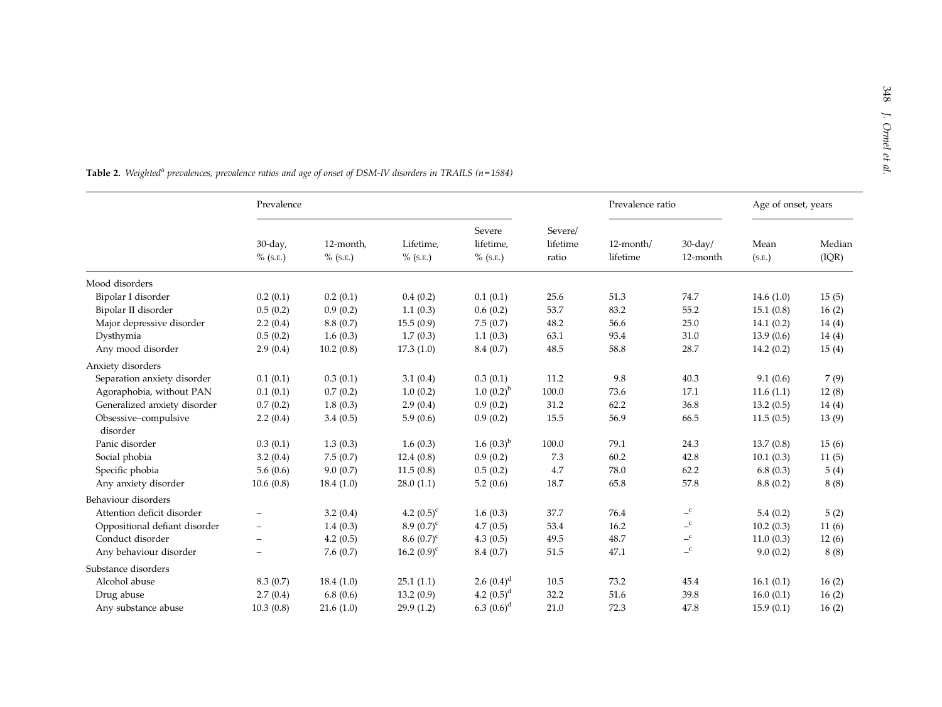|                                  | Prevalence                |                         |                          |                                    | Prevalence ratio             |                       | Age of onset, years      |                |                 |
|----------------------------------|---------------------------|-------------------------|--------------------------|------------------------------------|------------------------------|-----------------------|--------------------------|----------------|-----------------|
|                                  | $30$ -day,<br>$\%$ (S.E.) | 12-month,<br>$%$ (S.E.) | Lifetime,<br>$\%$ (S.E.) | Severe<br>lifetime,<br>$\%$ (S.E.) | Severe/<br>lifetime<br>ratio | 12-month/<br>lifetime | $30$ -day/<br>12-month   | Mean<br>(S.E.) | Median<br>(IQR) |
| Mood disorders                   |                           |                         |                          |                                    |                              |                       |                          |                |                 |
| Bipolar I disorder               | 0.2(0.1)                  | 0.2(0.1)                | 0.4(0.2)                 | 0.1(0.1)                           | 25.6                         | 51.3                  | 74.7                     | 14.6(1.0)      | 15(5)           |
| Bipolar II disorder              | 0.5(0.2)                  | 0.9(0.2)                | 1.1(0.3)                 | 0.6(0.2)                           | 53.7                         | 83.2                  | 55.2                     | 15.1(0.8)      | 16(2)           |
| Major depressive disorder        | 2.2(0.4)                  | 8.8(0.7)                | 15.5(0.9)                | 7.5(0.7)                           | 48.2                         | 56.6                  | 25.0                     | 14.1(0.2)      | 14(4)           |
| Dysthymia                        | 0.5(0.2)                  | 1.6(0.3)                | 1.7(0.3)                 | 1.1(0.3)                           | 63.1                         | 93.4                  | 31.0                     | 13.9(0.6)      | 14(4)           |
| Any mood disorder                | 2.9(0.4)                  | 10.2(0.8)               | 17.3(1.0)                | 8.4(0.7)                           | 48.5                         | 58.8                  | 28.7                     | 14.2(0.2)      | 15(4)           |
| Anxiety disorders                |                           |                         |                          |                                    |                              |                       |                          |                |                 |
| Separation anxiety disorder      | 0.1(0.1)                  | 0.3(0.1)                | 3.1(0.4)                 | 0.3(0.1)                           | 11.2                         | 9.8                   | 40.3                     | 9.1(0.6)       | 7(9)            |
| Agoraphobia, without PAN         | 0.1(0.1)                  | 0.7(0.2)                | 1.0(0.2)                 | $1.0~(0.2)^{b}$                    | 100.0                        | 73.6                  | 17.1                     | 11.6(1.1)      | 12(8)           |
| Generalized anxiety disorder     | 0.7(0.2)                  | 1.8(0.3)                | 2.9(0.4)                 | 0.9(0.2)                           | 31.2                         | 62.2                  | 36.8                     | 13.2(0.5)      | 14(4)           |
| Obsessive-compulsive<br>disorder | 2.2(0.4)                  | 3.4(0.5)                | 5.9(0.6)                 | 0.9(0.2)                           | 15.5                         | 56.9                  | 66.5                     | 11.5(0.5)      | 13(9)           |
| Panic disorder                   | 0.3(0.1)                  | 1.3(0.3)                | 1.6(0.3)                 | 1.6 $(0.3)^{b}$                    | 100.0                        | 79.1                  | 24.3                     | 13.7(0.8)      | 15(6)           |
| Social phobia                    | 3.2(0.4)                  | 7.5(0.7)                | 12.4(0.8)                | 0.9(0.2)                           | 7.3                          | 60.2                  | 42.8                     | 10.1(0.3)      | 11(5)           |
| Specific phobia                  | 5.6(0.6)                  | 9.0(0.7)                | 11.5(0.8)                | 0.5(0.2)                           | 4.7                          | 78.0                  | 62.2                     | 6.8(0.3)       | 5(4)            |
| Any anxiety disorder             | 10.6(0.8)                 | 18.4(1.0)               | 28.0(1.1)                | 5.2(0.6)                           | 18.7                         | 65.8                  | 57.8                     | 8.8(0.2)       | 8(8)            |
| Behaviour disorders              |                           |                         |                          |                                    |                              |                       |                          |                |                 |
| Attention deficit disorder       |                           | 3.2(0.4)                | 4.2 $(0.5)^c$            | 1.6(0.3)                           | 37.7                         | 76.4                  | $\mathbf{C}$             | 5.4(0.2)       | 5(2)            |
| Oppositional defiant disorder    | $\overline{\phantom{0}}$  | 1.4(0.3)                | 8.9 $(0.7)^c$            | 4.7(0.5)                           | 53.4                         | 16.2                  | $\mathbf{C}$             | 10.2(0.3)      | 11(6)           |
| Conduct disorder                 | $\overline{\phantom{a}}$  | 4.2(0.5)                | $8.6~(0.7)^c$            | 4.3(0.5)                           | 49.5                         | 48.7                  | $\mathcal{L}^{\text{c}}$ | 11.0(0.3)      | 12(6)           |
| Any behaviour disorder           | $\overline{\phantom{0}}$  | 7.6(0.7)                | 16.2 $(0.9)^c$           | 8.4(0.7)                           | 51.5                         | 47.1                  | $\mathbf{C}$             | 9.0(0.2)       | 8(8)            |
| Substance disorders              |                           |                         |                          |                                    |                              |                       |                          |                |                 |
| Alcohol abuse                    | 8.3(0.7)                  | 18.4(1.0)               | 25.1(1.1)                | 2.6 $(0.4)^d$                      | 10.5                         | 73.2                  | 45.4                     | 16.1(0.1)      | 16(2)           |
| Drug abuse                       | 2.7(0.4)                  | 6.8(0.6)                | 13.2(0.9)                | 4.2 $(0.5)^d$                      | 32.2                         | 51.6                  | 39.8                     | 16.0(0.1)      | 16(2)           |
| Any substance abuse              | 10.3(0.8)                 | 21.6(1.0)               | 29.9(1.2)                | 6.3 $(0.6)^d$                      | 21.0                         | 72.3                  | 47.8                     | 15.9(0.1)      | 16(2)           |

**Table 2.** Weighted<sup>a</sup> prevalences, prevalence ratios and age of onset of DSM-IV disorders in TRAILS (n=1584)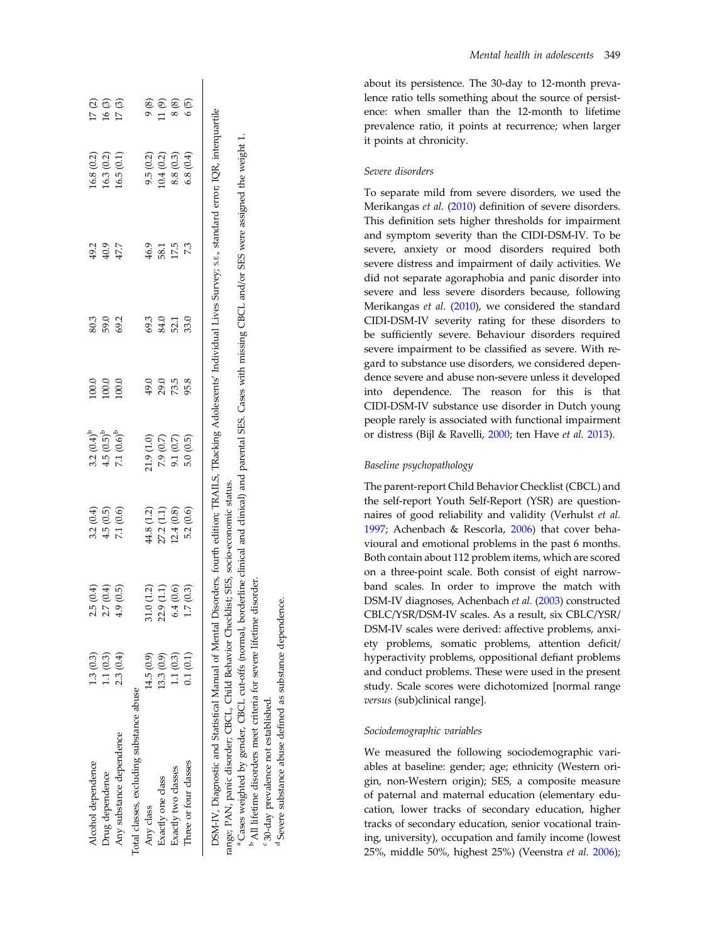<span id="page-4-0"></span>

| <b>Alcohol</b> dependence                             | 1.3(0.3)  | 2.5(0.4)      | 3.2(0.4)   | $3.2 (0.4)^b$                                                            |                                                       |                             |                         |                                                                                                                            |                                                           |
|-------------------------------------------------------|-----------|---------------|------------|--------------------------------------------------------------------------|-------------------------------------------------------|-----------------------------|-------------------------|----------------------------------------------------------------------------------------------------------------------------|-----------------------------------------------------------|
| Drug dependence                                       | 1.1(0.3)  | 2.7(0.4)      | 4.5(0.5)   | $4.5(0.5)^b$                                                             | $\begin{array}{r} 0.0 \\ 0.0 \\ 100 \\ 1 \end{array}$ | 8<br>8 8 8<br>8 9           | 요 9 다<br>유 유 다<br>유 유 규 | 16.8 (0.2)<br>16.3 (0.2)                                                                                                   | 17 (3)<br>17 (3)<br>17 (3)                                |
| Any substance dependence                              | 2.3(0.4)  | 4.9(0.5)      | 7.1 (0.6)  | $7.1 (0.6)^b$                                                            |                                                       |                             |                         | 16.5(0.1)                                                                                                                  |                                                           |
| otal classes, excluding substance abuse               |           |               |            |                                                                          |                                                       |                             |                         |                                                                                                                            |                                                           |
| Any class                                             | 14.5(0.9) | 1.0(1.2)      | 44.8 (1.2) | 21.9(1.0)                                                                |                                                       |                             | 46.9                    | 9.5(0.2)                                                                                                                   |                                                           |
| Exactly one class                                     | 13.3(0.9) | 2.9(1.1)<br>N | 27.2 (1.1) |                                                                          | 49.0<br>29.0                                          | 3 3 5 9<br>3 5 5 9<br>3 9 9 |                         | (0.4(0.2)                                                                                                                  | $(6)$<br>$(6)$<br>$(7)$                                   |
| Exactly two classes                                   | 1.1(0.3)  | 6.4(0.6)      | 12.4(0.8)  |                                                                          | 73.5                                                  |                             | 58.1<br>17.5            | 8.8(0.3)                                                                                                                   |                                                           |
| Three or four classes                                 | 0.1(0.1)  | 1.7(0.3)      | 5.2(0.6)   | $\begin{array}{c} 7.9 \ (0.7) \\ 9.1 \ (0.7) \\ 5.0 \ (0.5) \end{array}$ | 95.8                                                  |                             |                         | 6.8(0.4)                                                                                                                   | $\begin{array}{c} 8\  \  \, 8 \\ 6\  \  \, 5 \end{array}$ |
| DSM-IV, Diagnostic and Statistical Manual of Mental I |           |               |            |                                                                          |                                                       |                             |                         | Disorders, fourth edition; TRAILS, TRacking Adolescents' Individual Lives Survey; s.E., standard error; IQR, interquartile |                                                           |

'Cases weighted by gender, CBCL cut-offs (normal, borderline clinical and clinical) and parental SES. Cases with missing CBCL and/or SES were assigned the weight 1. Cases weighted by gender, CBCL cut-offs (normal, borderline clinical and clinical) and parental SES. Cases with missing CBCL and/or SES were assigned the weight 1. range; PAN, panic disorder; CBCL, Child Behavior Checklist; SES, socio-economic status. range; PAN, panic disorder; CBCL, Child Behavior Checklist; SES, socio-economic status.

b All lifetime disorders meet criteria for severe lifetime disorder. <sup>b</sup> All lifetime disorders meet criteria for severe lifetime disorder

30-day prevalence not established. 30-day prevalence not established.

Severe substance abuse defined as substance dependence. Severe substance abuse defined as substance dependence.

about its persistence. The 30-day to 12-month prevalence ratio tells something about the source of persistence: when smaller than the 12-month to lifetime prevalence ratio, it points at recurrence; when larger it points at chronicity.

# Severe disorders

To separate mild from severe disorders, we used the Merikangas et al. ([2010\)](#page-14-0) definition of severe disorders. This de finition sets higher thresholds for impairment and symptom severity than the CIDI-DSM-IV. To be severe, anxiety or mood disorders required both severe distress and impairment of daily activities. We did not separate agoraphobia and panic disorder into severe and less severe disorders because, following Merikangas et al. [\(2010](#page-14-0)), we considered the standard CIDI-DSM-IV severity rating for these disorders to be suf ficiently severe. Behaviour disorders required severe impairment to be classi fied as severe. With regard to substance use disorders, we considered dependence severe and abuse non-severe unless it developed into dependence. The reason for this is that CIDI-DSM-IV substance use disorder in Dutch young people rarely is associated with functional impairment or distress (Bijl & Ravelli, [2000](#page-12-0); ten Have et al. [2013\)](#page-14-0).

# Baseline psychopathology

The parent-report Child Behavior Checklist (CBCL) and the self-report Youth Self-Report (YSR) are questionnaires of good reliability and validity (Verhulst et al. [1997;](#page-15-0) Achenbach & Rescorla, [2006](#page-12-0)) that cover behavioural and emotional problems in the past 6 months. Both contain about 112 problem items, which are scored on a three-point scale. Both consist of eight narrowband scales. In order to improve the match with DSM-IV diagnoses, Achenbach et al. ([2003\)](#page-12-0) constructed CBLC/YSR/DSM-IV scales. As a result, six CBLC/YSR/ DSM-IV scales were derived: affective problems, anxiety problems, somatic problems, attention deficit/ hyperactivity problems, oppositional de fiant problems and conduct problems. These were used in the present study. Scale scores were dichotomized [normal range versus (sub)clinical range].

# Sociodemographic variables

We measured the following sociodemographic variables at baseline: gender; age; ethnicity (Western origin, non-Western origin); SES, a composite measure of paternal and maternal education (elementary education, lower tracks of secondary education, higher tracks of secondary education, senior vocational training, university), occupation and family income (lowest 25%, middle 50%, highest 25%) (Veenstra et al. [2006](#page-14-0));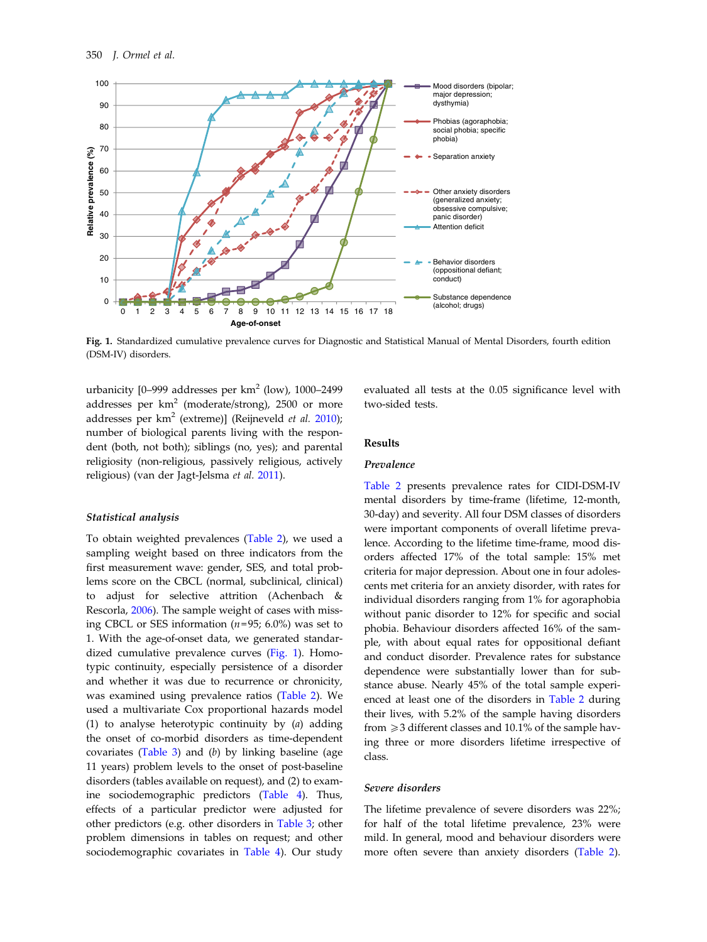<span id="page-5-0"></span>

Fig. 1. Standardized cumulative prevalence curves for Diagnostic and Statistical Manual of Mental Disorders, fourth edition (DSM-IV) disorders.

urbanicity  $[0-999$  addresses per km<sup>2</sup> (low), 1000-2499 addresses per  $km^2$  (moderate/strong), 2500 or more addresses per  $km^2$  (extreme)] (Reijneveld et al. [2010](#page-14-0)); number of biological parents living with the respondent (both, not both); siblings (no, yes); and parental religiosity (non-religious, passively religious, actively religious) (van der Jagt-Jelsma et al. [2011](#page-14-0)).

# Statistical analysis

To obtain weighted prevalences [\(Table 2\)](#page-4-0), we used a sampling weight based on three indicators from the first measurement wave: gender, SES, and total problems score on the CBCL (normal, subclinical, clinical) to adjust for selective attrition (Achenbach & Rescorla, [2006\)](#page-12-0). The sample weight of cases with missing CBCL or SES information  $(n=95; 6.0\%)$  was set to 1. With the age-of-onset data, we generated standardized cumulative prevalence curves (Fig. 1). Homotypic continuity, especially persistence of a disorder and whether it was due to recurrence or chronicity, was examined using prevalence ratios [\(Table 2](#page-4-0)). We used a multivariate Cox proportional hazards model (1) to analyse heterotypic continuity by (a) adding the onset of co-morbid disorders as time-dependent covariates [\(Table 3](#page-6-0)) and  $(b)$  by linking baseline (age 11 years) problem levels to the onset of post-baseline disorders (tables available on request), and (2) to examine sociodemographic predictors [\(Table 4](#page-7-0)). Thus, effects of a particular predictor were adjusted for other predictors (e.g. other disorders in [Table 3;](#page-6-0) other problem dimensions in tables on request; and other sociodemographic covariates in [Table 4](#page-7-0)). Our study evaluated all tests at the 0.05 significance level with two-sided tests.

# Results

#### Prevalence

[Table 2](#page-4-0) presents prevalence rates for CIDI-DSM-IV mental disorders by time-frame (lifetime, 12-month, 30-day) and severity. All four DSM classes of disorders were important components of overall lifetime prevalence. According to the lifetime time-frame, mood disorders affected 17% of the total sample: 15% met criteria for major depression. About one in four adolescents met criteria for an anxiety disorder, with rates for individual disorders ranging from 1% for agoraphobia without panic disorder to 12% for specific and social phobia. Behaviour disorders affected 16% of the sample, with about equal rates for oppositional defiant and conduct disorder. Prevalence rates for substance dependence were substantially lower than for substance abuse. Nearly 45% of the total sample experienced at least one of the disorders in [Table 2](#page-4-0) during their lives, with 5.2% of the sample having disorders from  $\geq$  3 different classes and 10.1% of the sample having three or more disorders lifetime irrespective of class.

# Severe disorders

The lifetime prevalence of severe disorders was 22%; for half of the total lifetime prevalence, 23% were mild. In general, mood and behaviour disorders were more often severe than anxiety disorders ([Table 2](#page-4-0)).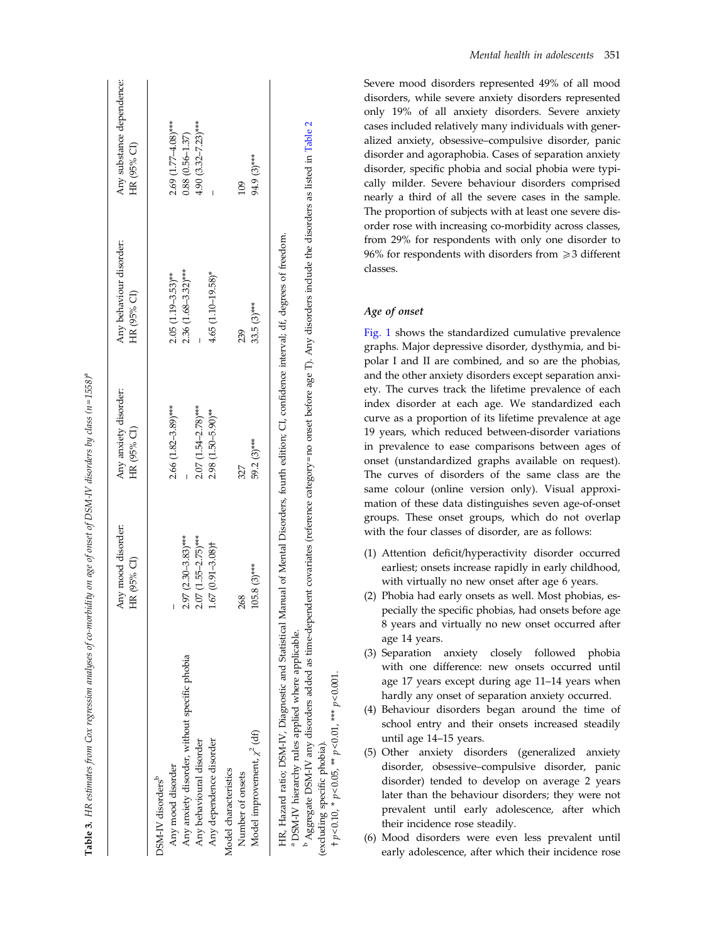<span id="page-6-0"></span>

|                                               | Any mood disorder:<br>HR (95% CI) | Any anxiety disorder:<br>HR (95% CI) | Any behaviour disorder:<br>HR (95% CI) | Any substance dependence:<br>HR (95% CI) |
|-----------------------------------------------|-----------------------------------|--------------------------------------|----------------------------------------|------------------------------------------|
| DSM-IV disorders <sup>b</sup>                 |                                   |                                      |                                        |                                          |
| Any mood disorder                             |                                   | $2.66$ $(1.82 - 3.89)$ ***           | $2.05(1.19-3.53)$ **                   | $2.69$ $(1.77 - 4.08)$ ***               |
| Any anxiety disorder, without specific phobia | $2.97$ (2.30-3.83)***             |                                      | $2.36(1.68-3.32)***$                   | $0.88(0.56 - 1.37)$                      |
| Any behavioural disorder                      | $2.07(1.55 - 2.75)***$            | $2.07(1.54 - 2.78)***$               |                                        | $4.90(3.32 - 7.23)***$                   |
| Any dependence disorder                       | $1.67(0.91 - 3.08)$ <sup>+</sup>  | $2.98(1.50 - 5.90)$ **               | $4.65$ (1.10-19.58)*                   |                                          |
| Model characteristics                         |                                   |                                      |                                        |                                          |
| Number of onsets                              | 268                               | 327                                  | 239                                    | 109                                      |
| Model improvement, $\chi^2$ (df)              | $105.8(3)***$                     | 59.2 (3)***                          | $33.5(3)***$                           | 94.9 (3)***                              |

**Table 3.** HR estimates from Cox regression analyses of co-morbidity on age of onset of DSM-IV disorders by class  $(n=1558)^{5}$ HR estimates from Cox regression analyses of co-morbidity on age of onset of DSM-IV disorders by class (n=1558) $^{\circ}$ 

<sup>b</sup> Aggregate DSM-IV any disorders added as time-dependent covariates (reference category=no onset before age T). Any disorders include the disorders as listed in Table 2 b Aggregate DSM-IV any disorders added as time-dependent covariates (reference category = no onset before age T). Any disorders include the disorders as listed in [Table](#page-4-0) 2 a DSM-IV hierarchy rules applied where applicable. DSM-IV hierarchy rules applied where applicable.

 p< 0.10, \* p< 0.05, \*\* p< 0.01, \*\*\* p< 0.001. \*\*\*  $p$  < 0.001  $+p < 0.10$ , \*  $p < 0.05$ , \*\*  $p < 0.01$ , (excluding specific phobia). (excluding specific phobia).

Mental health in adolescents 351

Severe mood disorders represented 49% of all mood disorders, while severe anxiety disorders represented only 19% of all anxiety disorders. Severe anxiety cases included relatively many individuals with generalized anxiety, obsessive–compulsive disorder, panic disorder and agoraphobia. Cases of separation anxiety disorder, speci fic phobia and social phobia were typically milder. Severe behaviour disorders comprised nearly a third of all the severe cases in the sample. The proportion of subjects with at least one severe disorder rose with increasing co-morbidity across classes, from 29% for respondents with only one disorder to 96% for respondents with disorders from 53 different classes.

# Age of onset

[Fig. 1](#page-5-0) shows the standardized cumulative prevalence graphs. Major depressive disorder, dysthymia, and bipolar I and II are combined, and so are the phobias, and the other anxiety disorders except separation anxiety. The curves track the lifetime prevalence of each index disorder at each age. We standardized each curve as a proportion of its lifetime prevalence at age 19 years, which reduced between-disorder variations in prevalence to ease comparisons between ages of onset (unstandardized graphs available on request). The curves of disorders of the same class are the same colour (online version only). Visual approximation of these data distinguishes seven age-of-onset groups. These onset groups, which do not overlap with the four classes of disorder, are as follows:

- (1) Attention de ficit/hyperactivity disorder occurred earliest; onsets increase rapidly in early childhood, with virtually no new onset after age 6 years.
- (2) Phobia had early onsets as well. Most phobias, especially the specific phobias, had onsets before age 8 years and virtually no new onset occurred after age 14 years.
- (3) Separation anxiety closely followed phobia with one difference: new onsets occurred until age 17 years except during age 11 –14 years when hardly any onset of separation anxiety occurred.
- (4) Behaviour disorders began around the time of school entry and their onsets increased steadily until age 14 –15 years.
- (5) Other anxiety disorders (generalized anxiety disorder, obsessive –compulsive disorder, panic disorder) tended to develop on average 2 years later than the behaviour disorders; they were not prevalent until early adolescence, after which their incidence rose steadily.
- (6) Mood disorders were even less prevalent until early adolescence, after which their incidence rose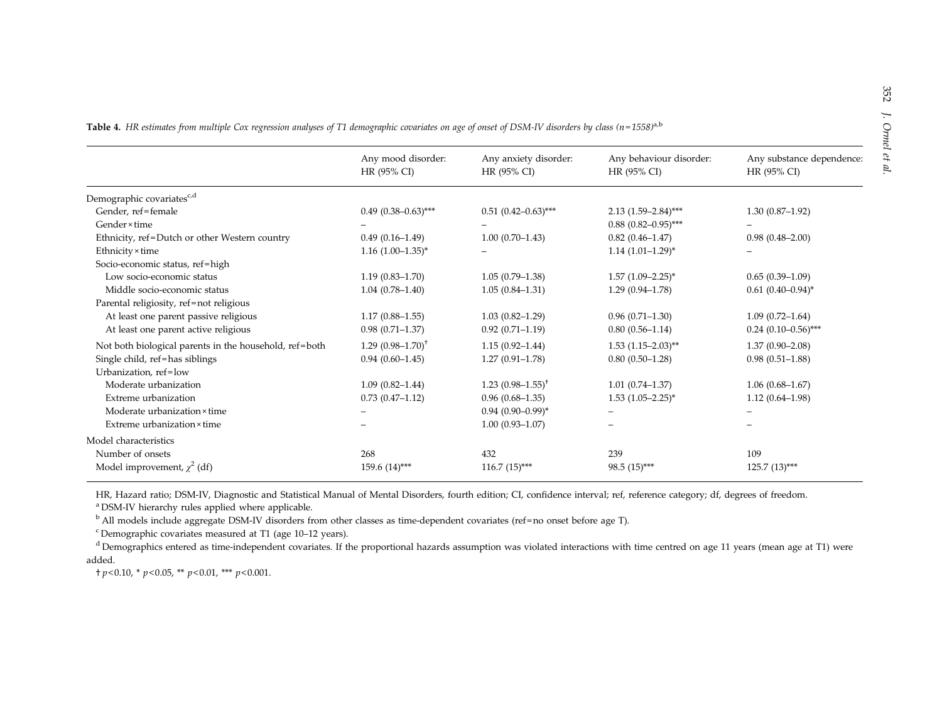|                                                        | Any mood disorder:       | Any anxiety disorder:    | Any behaviour disorder:    | Any substance dependence: |
|--------------------------------------------------------|--------------------------|--------------------------|----------------------------|---------------------------|
|                                                        | HR (95% CI)              | HR (95% CI)              | HR (95% CI)                | HR (95% CI)               |
| Demographic covariates <sup>c,d</sup>                  |                          |                          |                            |                           |
| Gender, ref=female                                     | $0.49(0.38-0.63)$ ***    | $0.51(0.42 - 0.63)$ ***  | $2.13(1.59-2.84)$ ***      | $1.30(0.87-1.92)$         |
| Gender × time                                          |                          |                          | $0.88$ $(0.82 - 0.95)$ *** |                           |
| Ethnicity, ref=Dutch or other Western country          | $0.49(0.16-1.49)$        | $1.00(0.70-1.43)$        | $0.82(0.46 - 1.47)$        | $0.98(0.48 - 2.00)$       |
| Ethnicity × time                                       | $1.16$ $(1.00-1.35)^{*}$ |                          | $1.14(1.01-1.29)^{*}$      |                           |
| Socio-economic status, ref=high                        |                          |                          |                            |                           |
| Low socio-economic status                              | $1.19(0.83 - 1.70)$      | $1.05(0.79-1.38)$        | $1.57$ $(1.09 - 2.25)^*$   | $0.65(0.39-1.09)$         |
| Middle socio-economic status                           | $1.04(0.78 - 1.40)$      | $1.05(0.84 - 1.31)$      | $1.29(0.94 - 1.78)$        | $0.61(0.40-0.94)^{*}$     |
| Parental religiosity, ref=not religious                |                          |                          |                            |                           |
| At least one parent passive religious                  | $1.17(0.88 - 1.55)$      | $1.03(0.82 - 1.29)$      | $0.96(0.71-1.30)$          | $1.09(0.72 - 1.64)$       |
| At least one parent active religious                   | $0.98(0.71 - 1.37)$      | $0.92(0.71 - 1.19)$      | $0.80(0.56 - 1.14)$        | $0.24(0.10-0.56)$ ***     |
| Not both biological parents in the household, ref=both | $1.29$ $(0.98-1.70)^{+}$ | $1.15(0.92 - 1.44)$      | $1.53$ $(1.15-2.03)$ **    | $1.37(0.90 - 2.08)$       |
| Single child, ref=has siblings                         | $0.94(0.60 - 1.45)$      | $1.27(0.91 - 1.78)$      | $0.80(0.50-1.28)$          | $0.98(0.51-1.88)$         |
| Urbanization, ref=low                                  |                          |                          |                            |                           |
| Moderate urbanization                                  | $1.09(0.82 - 1.44)$      | $1.23$ $(0.98-1.55)^{+}$ | $1.01(0.74 - 1.37)$        | $1.06(0.68-1.67)$         |
| Extreme urbanization                                   | $0.73(0.47-1.12)$        | $0.96(0.68-1.35)$        | $1.53$ $(1.05-2.25)^*$     | $1.12(0.64 - 1.98)$       |
| Moderate urbanization × time                           |                          | $0.94(0.90-0.99)^{*}$    |                            |                           |
| Extreme urbanization × time                            |                          | $1.00(0.93 - 1.07)$      |                            |                           |
| Model characteristics                                  |                          |                          |                            |                           |
| Number of onsets                                       | 268                      | 432                      | 239                        | 109                       |
| Model improvement, $\chi^2$ (df)                       | 159.6 (14)***            | $116.7(15)$ ***          | 98.5 (15)***               | $125.7(13)$ ***           |

<span id="page-7-0"></span>Table 4. HR estimates from multiple Cox regression analyses of T1 demographic covariates on age of onset of DSM-IV disorders by class (n=1558)<sup>a,b</sup>

HR, Hazard ratio; DSM-IV, Diagnostic and Statistical Manual of Mental Disorders, fourth edition; CI, confidence interval; ref, reference category; df, degrees of freedom. <sup>a</sup> DSM-IV hierarchy rules applied where applicable.

<sup>b</sup> All models include aggregate DSM-IV disorders from other classes as time-dependent covariates (ref=no onset before age T).

 $\rm^c$ Demographic covariates measured at T1 (age 10–12 years).

<sup>d</sup> Demographics entered as time-independent covariates. If the proportional hazards assumption was violated interactions with time centred on age 11 years (mean age at T1) were added.

† p<sup>&</sup>lt; 0.10, \* p<sup>&</sup>lt; 0.05, \*\* p<sup>&</sup>lt; 0.01, \*\*\* p<sup>&</sup>lt; 0.001.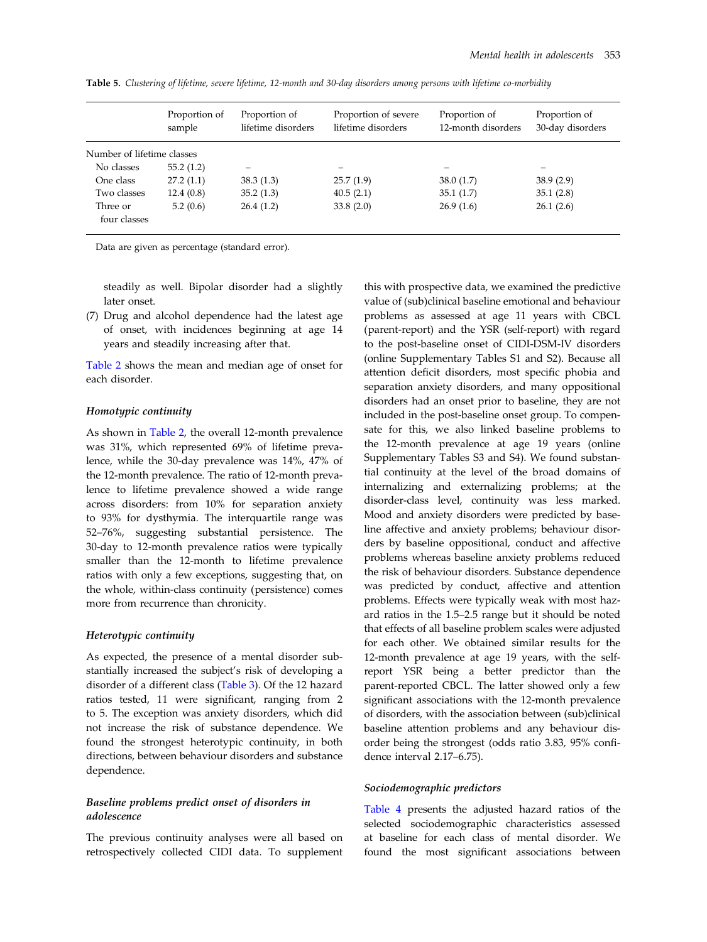|                            | Proportion of<br>sample | Proportion of<br>lifetime disorders | Proportion of severe<br>lifetime disorders | Proportion of<br>12-month disorders | Proportion of<br>30-day disorders |
|----------------------------|-------------------------|-------------------------------------|--------------------------------------------|-------------------------------------|-----------------------------------|
| Number of lifetime classes |                         |                                     |                                            |                                     |                                   |
| No classes                 | 55.2(1.2)               |                                     |                                            | -                                   |                                   |
| One class                  | 27.2(1.1)               | 38.3(1.3)                           | 25.7(1.9)                                  | 38.0(1.7)                           | 38.9(2.9)                         |
| Two classes                | 12.4(0.8)               | 35.2(1.3)                           | 40.5(2.1)                                  | 35.1(1.7)                           | 35.1(2.8)                         |
| Three or                   | 5.2(0.6)                | 26.4(1.2)                           | 33.8(2.0)                                  | 26.9(1.6)                           | 26.1(2.6)                         |
| four classes               |                         |                                     |                                            |                                     |                                   |

<span id="page-8-0"></span>Table 5. Clustering of lifetime, severe lifetime, 12-month and 30-day disorders among persons with lifetime co-morbidity

Data are given as percentage (standard error).

steadily as well. Bipolar disorder had a slightly later onset.

(7) Drug and alcohol dependence had the latest age of onset, with incidences beginning at age 14 years and steadily increasing after that.

[Table 2](#page-4-0) shows the mean and median age of onset for each disorder.

#### Homotypic continuity

As shown in [Table 2](#page-4-0), the overall 12-month prevalence was 31%, which represented 69% of lifetime prevalence, while the 30-day prevalence was 14%, 47% of the 12-month prevalence. The ratio of 12-month prevalence to lifetime prevalence showed a wide range across disorders: from 10% for separation anxiety to 93% for dysthymia. The interquartile range was 52–76%, suggesting substantial persistence. The 30-day to 12-month prevalence ratios were typically smaller than the 12-month to lifetime prevalence ratios with only a few exceptions, suggesting that, on the whole, within-class continuity (persistence) comes more from recurrence than chronicity.

# Heterotypic continuity

As expected, the presence of a mental disorder substantially increased the subject's risk of developing a disorder of a different class ([Table 3](#page-6-0)). Of the 12 hazard ratios tested, 11 were significant, ranging from 2 to 5. The exception was anxiety disorders, which did not increase the risk of substance dependence. We found the strongest heterotypic continuity, in both directions, between behaviour disorders and substance dependence.

# Baseline problems predict onset of disorders in adolescence

The previous continuity analyses were all based on retrospectively collected CIDI data. To supplement

this with prospective data, we examined the predictive value of (sub)clinical baseline emotional and behaviour problems as assessed at age 11 years with CBCL (parent-report) and the YSR (self-report) with regard to the post-baseline onset of CIDI-DSM-IV disorders (online Supplementary Tables S1 and S2). Because all attention deficit disorders, most specific phobia and separation anxiety disorders, and many oppositional disorders had an onset prior to baseline, they are not included in the post-baseline onset group. To compensate for this, we also linked baseline problems to the 12-month prevalence at age 19 years (online Supplementary Tables S3 and S4). We found substantial continuity at the level of the broad domains of internalizing and externalizing problems; at the disorder-class level, continuity was less marked. Mood and anxiety disorders were predicted by baseline affective and anxiety problems; behaviour disorders by baseline oppositional, conduct and affective problems whereas baseline anxiety problems reduced the risk of behaviour disorders. Substance dependence was predicted by conduct, affective and attention problems. Effects were typically weak with most hazard ratios in the 1.5–2.5 range but it should be noted that effects of all baseline problem scales were adjusted for each other. We obtained similar results for the 12-month prevalence at age 19 years, with the selfreport YSR being a better predictor than the parent-reported CBCL. The latter showed only a few significant associations with the 12-month prevalence of disorders, with the association between (sub)clinical baseline attention problems and any behaviour disorder being the strongest (odds ratio 3.83, 95% confidence interval 2.17–6.75).

## Sociodemographic predictors

[Table 4](#page-7-0) presents the adjusted hazard ratios of the selected sociodemographic characteristics assessed at baseline for each class of mental disorder. We found the most significant associations between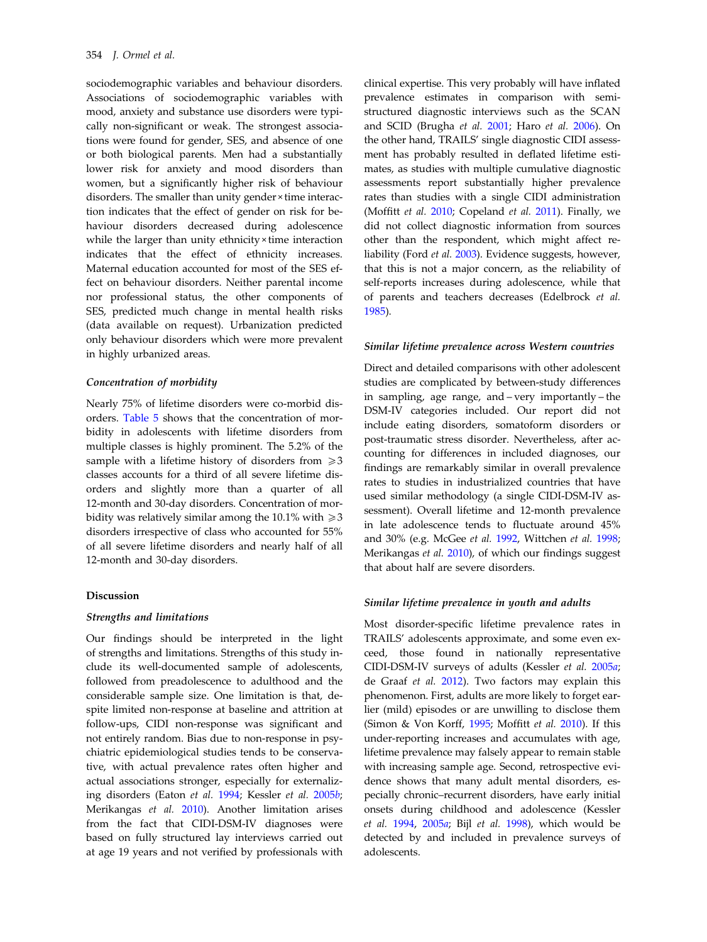sociodemographic variables and behaviour disorders. Associations of sociodemographic variables with mood, anxiety and substance use disorders were typically non-significant or weak. The strongest associations were found for gender, SES, and absence of one or both biological parents. Men had a substantially lower risk for anxiety and mood disorders than women, but a significantly higher risk of behaviour disorders. The smaller than unity gender × time interaction indicates that the effect of gender on risk for behaviour disorders decreased during adolescence while the larger than unity ethnicity × time interaction indicates that the effect of ethnicity increases. Maternal education accounted for most of the SES effect on behaviour disorders. Neither parental income nor professional status, the other components of SES, predicted much change in mental health risks (data available on request). Urbanization predicted only behaviour disorders which were more prevalent in highly urbanized areas.

#### Concentration of morbidity

Nearly 75% of lifetime disorders were co-morbid disorders. [Table 5](#page-8-0) shows that the concentration of morbidity in adolescents with lifetime disorders from multiple classes is highly prominent. The 5.2% of the sample with a lifetime history of disorders from  $\geq 3$ classes accounts for a third of all severe lifetime disorders and slightly more than a quarter of all 12-month and 30-day disorders. Concentration of morbidity was relatively similar among the 10.1% with  $\geq 3$ disorders irrespective of class who accounted for 55% of all severe lifetime disorders and nearly half of all 12-month and 30-day disorders.

#### Discussion

#### Strengths and limitations

Our findings should be interpreted in the light of strengths and limitations. Strengths of this study include its well-documented sample of adolescents, followed from preadolescence to adulthood and the considerable sample size. One limitation is that, despite limited non-response at baseline and attrition at follow-ups, CIDI non-response was significant and not entirely random. Bias due to non-response in psychiatric epidemiological studies tends to be conservative, with actual prevalence rates often higher and actual associations stronger, especially for externalizing disorders (Eaton et al. [1994;](#page-12-0) Kessler et al. [2005](#page-13-0)b; Merikangas et al. [2010](#page-14-0)). Another limitation arises from the fact that CIDI-DSM-IV diagnoses were based on fully structured lay interviews carried out at age 19 years and not verified by professionals with clinical expertise. This very probably will have inflated prevalence estimates in comparison with semistructured diagnostic interviews such as the SCAN and SCID (Brugha et al. [2001;](#page-12-0) Haro et al. [2006](#page-13-0)). On the other hand, TRAILS' single diagnostic CIDI assessment has probably resulted in deflated lifetime estimates, as studies with multiple cumulative diagnostic assessments report substantially higher prevalence rates than studies with a single CIDI administration (Moffitt et al. [2010;](#page-14-0) Copeland et al. [2011](#page-12-0)). Finally, we did not collect diagnostic information from sources other than the respondent, which might affect reliability (Ford et al. [2003](#page-13-0)). Evidence suggests, however, that this is not a major concern, as the reliability of self-reports increases during adolescence, while that of parents and teachers decreases (Edelbrock et al. [1985\)](#page-13-0).

## Similar lifetime prevalence across Western countries

Direct and detailed comparisons with other adolescent studies are complicated by between-study differences in sampling, age range, and – very importantly – the DSM-IV categories included. Our report did not include eating disorders, somatoform disorders or post-traumatic stress disorder. Nevertheless, after accounting for differences in included diagnoses, our findings are remarkably similar in overall prevalence rates to studies in industrialized countries that have used similar methodology (a single CIDI-DSM-IV assessment). Overall lifetime and 12-month prevalence in late adolescence tends to fluctuate around 45% and 30% (e.g. McGee et al. [1992,](#page-14-0) Wittchen et al. [1998](#page-15-0); Merikangas et al. [2010\)](#page-14-0), of which our findings suggest that about half are severe disorders.

#### Similar lifetime prevalence in youth and adults

Most disorder-specific lifetime prevalence rates in TRAILS' adolescents approximate, and some even exceed, those found in nationally representative CIDI-DSM-IV surveys of adults (Kessler et al. [2005](#page-13-0)a; de Graaf et al. [2012\)](#page-12-0). Two factors may explain this phenomenon. First, adults are more likely to forget earlier (mild) episodes or are unwilling to disclose them (Simon & Von Korff, [1995](#page-14-0); Moffitt et al. [2010](#page-14-0)). If this under-reporting increases and accumulates with age, lifetime prevalence may falsely appear to remain stable with increasing sample age. Second, retrospective evidence shows that many adult mental disorders, especially chronic–recurrent disorders, have early initial onsets during childhood and adolescence (Kessler et al. [1994](#page-13-0), [2005](#page-13-0)a; Bijl et al. [1998](#page-12-0)), which would be detected by and included in prevalence surveys of adolescents.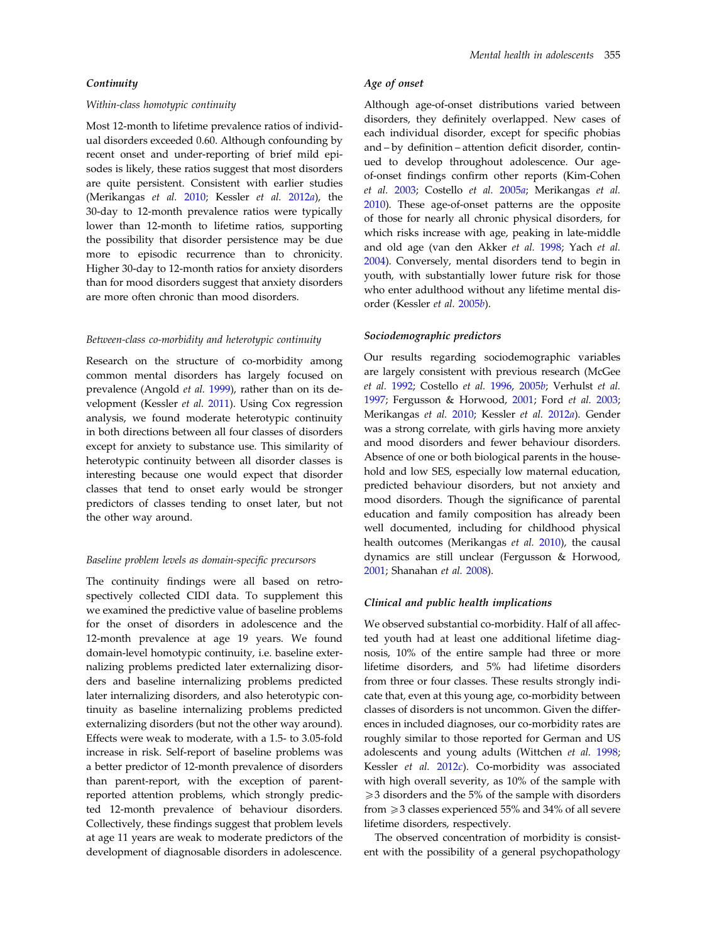## **Continuity**

# Within-class homotypic continuity

Most 12-month to lifetime prevalence ratios of individual disorders exceeded 0.60. Although confounding by recent onset and under-reporting of brief mild episodes is likely, these ratios suggest that most disorders are quite persistent. Consistent with earlier studies (Merikangas et al. [2010](#page-14-0); Kessler et al. [2012](#page-13-0)a), the 30-day to 12-month prevalence ratios were typically lower than 12-month to lifetime ratios, supporting the possibility that disorder persistence may be due more to episodic recurrence than to chronicity. Higher 30-day to 12-month ratios for anxiety disorders than for mood disorders suggest that anxiety disorders are more often chronic than mood disorders.

# Between-class co-morbidity and heterotypic continuity

Research on the structure of co-morbidity among common mental disorders has largely focused on prevalence (Angold et al. [1999](#page-12-0)), rather than on its development (Kessler et al. [2011](#page-13-0)). Using Cox regression analysis, we found moderate heterotypic continuity in both directions between all four classes of disorders except for anxiety to substance use. This similarity of heterotypic continuity between all disorder classes is interesting because one would expect that disorder classes that tend to onset early would be stronger predictors of classes tending to onset later, but not the other way around.

## Baseline problem levels as domain-specific precursors

The continuity findings were all based on retrospectively collected CIDI data. To supplement this we examined the predictive value of baseline problems for the onset of disorders in adolescence and the 12-month prevalence at age 19 years. We found domain-level homotypic continuity, i.e. baseline externalizing problems predicted later externalizing disorders and baseline internalizing problems predicted later internalizing disorders, and also heterotypic continuity as baseline internalizing problems predicted externalizing disorders (but not the other way around). Effects were weak to moderate, with a 1.5- to 3.05-fold increase in risk. Self-report of baseline problems was a better predictor of 12-month prevalence of disorders than parent-report, with the exception of parentreported attention problems, which strongly predicted 12-month prevalence of behaviour disorders. Collectively, these findings suggest that problem levels at age 11 years are weak to moderate predictors of the development of diagnosable disorders in adolescence.

# Age of onset

Although age-of-onset distributions varied between disorders, they definitely overlapped. New cases of each individual disorder, except for specific phobias and – by definition – attention deficit disorder, continued to develop throughout adolescence. Our ageof-onset findings confirm other reports (Kim-Cohen et al. [2003](#page-13-0); Costello et al. [2005](#page-12-0)a; Merikangas et al. [2010\)](#page-14-0). These age-of-onset patterns are the opposite of those for nearly all chronic physical disorders, for which risks increase with age, peaking in late-middle and old age (van den Akker et al. [1998;](#page-14-0) Yach et al. [2004\)](#page-15-0). Conversely, mental disorders tend to begin in youth, with substantially lower future risk for those who enter adulthood without any lifetime mental disorder (Kessler et al. [2005](#page-13-0)b).

# Sociodemographic predictors

Our results regarding sociodemographic variables are largely consistent with previous research (McGee et al. [1992;](#page-14-0) Costello et al. [1996](#page-12-0), [2005](#page-12-0)b; Verhulst et al. [1997;](#page-15-0) Fergusson & Horwood, [2001;](#page-13-0) Ford et al. [2003](#page-13-0); Merikangas et al. [2010](#page-14-0); Kessler et al. [2012](#page-13-0)a). Gender was a strong correlate, with girls having more anxiety and mood disorders and fewer behaviour disorders. Absence of one or both biological parents in the household and low SES, especially low maternal education, predicted behaviour disorders, but not anxiety and mood disorders. Though the significance of parental education and family composition has already been well documented, including for childhood physical health outcomes (Merikangas et al. [2010](#page-14-0)), the causal dynamics are still unclear (Fergusson & Horwood, [2001;](#page-13-0) Shanahan et al. [2008\)](#page-14-0).

#### Clinical and public health implications

We observed substantial co-morbidity. Half of all affected youth had at least one additional lifetime diagnosis, 10% of the entire sample had three or more lifetime disorders, and 5% had lifetime disorders from three or four classes. These results strongly indicate that, even at this young age, co-morbidity between classes of disorders is not uncommon. Given the differences in included diagnoses, our co-morbidity rates are roughly similar to those reported for German and US adolescents and young adults (Wittchen et al. [1998](#page-15-0); Kessler et al. [2012](#page-13-0)c). Co-morbidity was associated with high overall severity, as 10% of the sample with  $\geq$ 3 disorders and the 5% of the sample with disorders from  $\geq$  3 classes experienced 55% and 34% of all severe lifetime disorders, respectively.

The observed concentration of morbidity is consistent with the possibility of a general psychopathology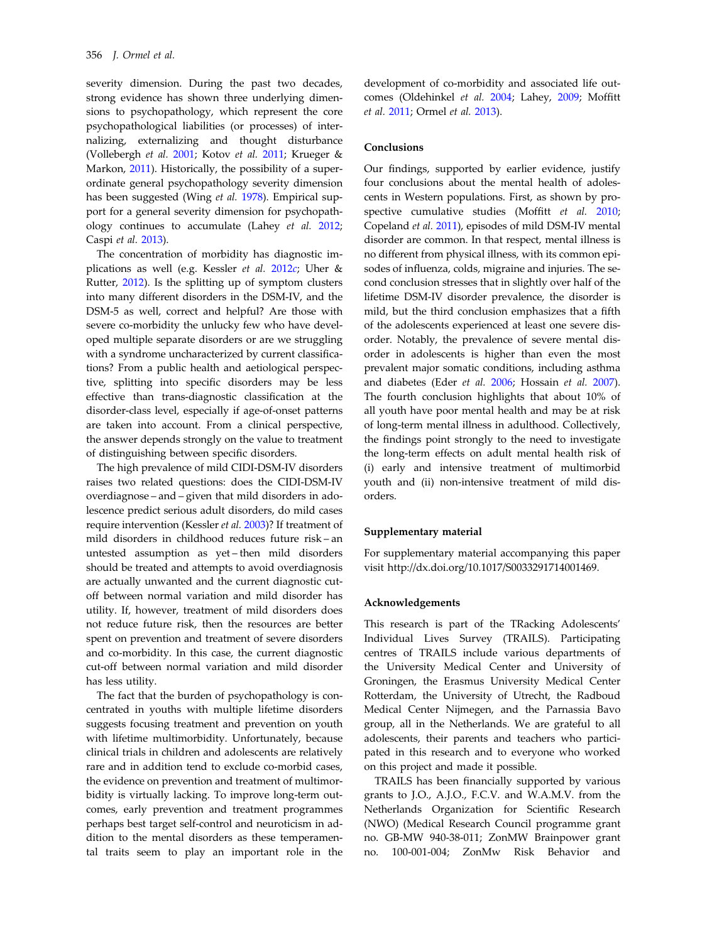severity dimension. During the past two decades, strong evidence has shown three underlying dimensions to psychopathology, which represent the core psychopathological liabilities (or processes) of internalizing, externalizing and thought disturbance (Vollebergh et al. [2001;](#page-15-0) Kotov et al. [2011](#page-13-0); Krueger & Markon, [2011](#page-13-0)). Historically, the possibility of a superordinate general psychopathology severity dimension has been suggested (Wing et al. [1978](#page-15-0)). Empirical support for a general severity dimension for psychopathology continues to accumulate (Lahey et al. [2012](#page-14-0); Caspi et al. [2013](#page-12-0)).

The concentration of morbidity has diagnostic implications as well (e.g. Kessler et al. [2012](#page-13-0)c; Uher & Rutter, [2012](#page-14-0)). Is the splitting up of symptom clusters into many different disorders in the DSM-IV, and the DSM-5 as well, correct and helpful? Are those with severe co-morbidity the unlucky few who have developed multiple separate disorders or are we struggling with a syndrome uncharacterized by current classifications? From a public health and aetiological perspective, splitting into specific disorders may be less effective than trans-diagnostic classification at the disorder-class level, especially if age-of-onset patterns are taken into account. From a clinical perspective, the answer depends strongly on the value to treatment of distinguishing between specific disorders.

The high prevalence of mild CIDI-DSM-IV disorders raises two related questions: does the CIDI-DSM-IV overdiagnose – and – given that mild disorders in adolescence predict serious adult disorders, do mild cases require intervention (Kessler et al. [2003\)](#page-13-0)? If treatment of mild disorders in childhood reduces future risk – an untested assumption as yet – then mild disorders should be treated and attempts to avoid overdiagnosis are actually unwanted and the current diagnostic cutoff between normal variation and mild disorder has utility. If, however, treatment of mild disorders does not reduce future risk, then the resources are better spent on prevention and treatment of severe disorders and co-morbidity. In this case, the current diagnostic cut-off between normal variation and mild disorder has less utility.

The fact that the burden of psychopathology is concentrated in youths with multiple lifetime disorders suggests focusing treatment and prevention on youth with lifetime multimorbidity. Unfortunately, because clinical trials in children and adolescents are relatively rare and in addition tend to exclude co-morbid cases, the evidence on prevention and treatment of multimorbidity is virtually lacking. To improve long-term outcomes, early prevention and treatment programmes perhaps best target self-control and neuroticism in addition to the mental disorders as these temperamental traits seem to play an important role in the

development of co-morbidity and associated life outcomes (Oldehinkel et al. [2004](#page-14-0); Lahey, [2009;](#page-14-0) Moffitt et al. [2011;](#page-14-0) Ormel et al. [2013\)](#page-14-0).

# **Conclusions**

Our findings, supported by earlier evidence, justify four conclusions about the mental health of adolescents in Western populations. First, as shown by pro-spective cumulative studies (Moffitt et al. [2010](#page-14-0); Copeland et al. [2011](#page-12-0)), episodes of mild DSM-IV mental disorder are common. In that respect, mental illness is no different from physical illness, with its common episodes of influenza, colds, migraine and injuries. The second conclusion stresses that in slightly over half of the lifetime DSM-IV disorder prevalence, the disorder is mild, but the third conclusion emphasizes that a fifth of the adolescents experienced at least one severe disorder. Notably, the prevalence of severe mental disorder in adolescents is higher than even the most prevalent major somatic conditions, including asthma and diabetes (Eder et al. [2006;](#page-13-0) Hossain et al. [2007](#page-13-0)). The fourth conclusion highlights that about 10% of all youth have poor mental health and may be at risk of long-term mental illness in adulthood. Collectively, the findings point strongly to the need to investigate the long-term effects on adult mental health risk of (i) early and intensive treatment of multimorbid youth and (ii) non-intensive treatment of mild disorders.

#### Supplementary material

For supplementary material accompanying this paper visit http://dx.doi.org/10.1017/S0033291714001469.

#### Acknowledgements

This research is part of the TRacking Adolescents' Individual Lives Survey (TRAILS). Participating centres of TRAILS include various departments of the University Medical Center and University of Groningen, the Erasmus University Medical Center Rotterdam, the University of Utrecht, the Radboud Medical Center Nijmegen, and the Parnassia Bavo group, all in the Netherlands. We are grateful to all adolescents, their parents and teachers who participated in this research and to everyone who worked on this project and made it possible.

TRAILS has been financially supported by various grants to J.O., A.J.O., F.C.V. and W.A.M.V. from the Netherlands Organization for Scientific Research (NWO) (Medical Research Council programme grant no. GB-MW 940-38-011; ZonMW Brainpower grant no. 100-001-004; ZonMw Risk Behavior and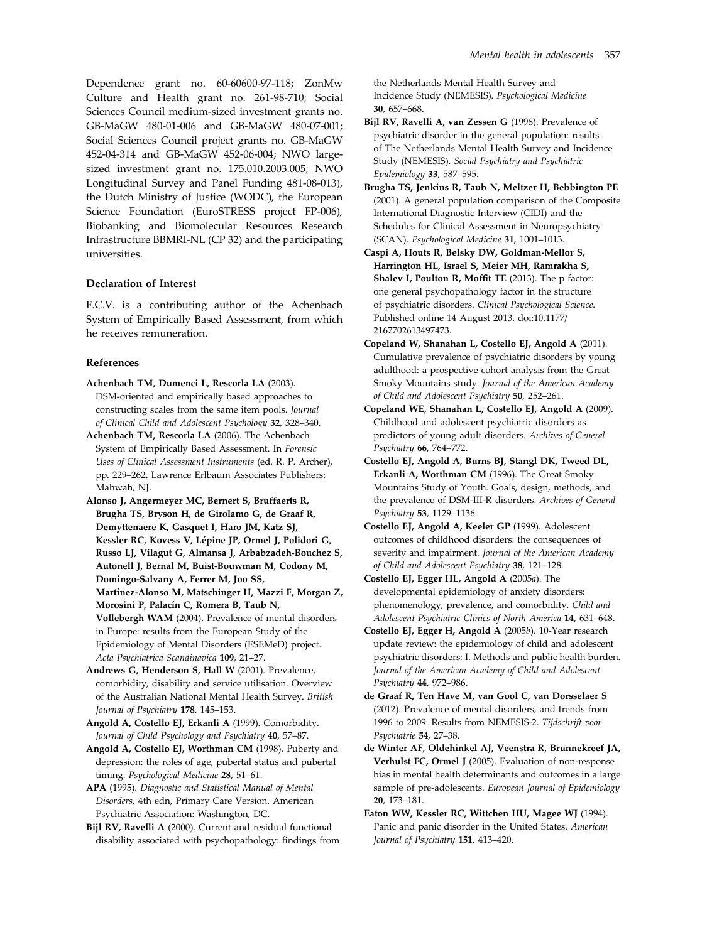<span id="page-12-0"></span>Dependence grant no. 60-60600-97-118; ZonMw Culture and Health grant no. 261-98-710; Social Sciences Council medium-sized investment grants no. GB-MaGW 480-01-006 and GB-MaGW 480-07-001; Social Sciences Council project grants no. GB-MaGW 452-04-314 and GB-MaGW 452-06-004; NWO largesized investment grant no. 175.010.2003.005; NWO Longitudinal Survey and Panel Funding 481-08-013), the Dutch Ministry of Justice (WODC), the European Science Foundation (EuroSTRESS project FP-006), Biobanking and Biomolecular Resources Research Infrastructure BBMRI-NL (CP 32) and the participating universities.

# Declaration of Interest

F.C.V. is a contributing author of the Achenbach System of Empirically Based Assessment, from which he receives remuneration.

# References

- Achenbach TM, Dumenci L, Rescorla LA (2003). DSM-oriented and empirically based approaches to constructing scales from the same item pools. Journal of Clinical Child and Adolescent Psychology 32, 328–340.
- Achenbach TM, Rescorla LA (2006). The Achenbach System of Empirically Based Assessment. In Forensic Uses of Clinical Assessment Instruments (ed. R. P. Archer), pp. 229–262. Lawrence Erlbaum Associates Publishers: Mahwah, NJ.
- Alonso J, Angermeyer MC, Bernert S, Bruffaerts R, Brugha TS, Bryson H, de Girolamo G, de Graaf R, Demyttenaere K, Gasquet I, Haro JM, Katz SJ, Kessler RC, Kovess V, Lépine JP, Ormel J, Polidori G, Russo LJ, Vilagut G, Almansa J, Arbabzadeh-Bouchez S, Autonell J, Bernal M, Buist-Bouwman M, Codony M, Domingo-Salvany A, Ferrer M, Joo SS, Martínez-Alonso M, Matschinger H, Mazzi F, Morgan Z, Morosini P, Palacín C, Romera B, Taub N, Vollebergh WAM (2004). Prevalence of mental disorders in Europe: results from the European Study of the Epidemiology of Mental Disorders (ESEMeD) project. Acta Psychiatrica Scandinavica 109, 21–27.
- Andrews G, Henderson S, Hall W (2001). Prevalence, comorbidity, disability and service utilisation. Overview of the Australian National Mental Health Survey. British Journal of Psychiatry 178, 145–153.
- Angold A, Costello EJ, Erkanli A (1999). Comorbidity. Journal of Child Psychology and Psychiatry 40, 57–87.
- Angold A, Costello EJ, Worthman CM (1998). Puberty and depression: the roles of age, pubertal status and pubertal timing. Psychological Medicine 28, 51–61.

APA (1995). Diagnostic and Statistical Manual of Mental Disorders, 4th edn, Primary Care Version. American Psychiatric Association: Washington, DC.

Bijl RV, Ravelli A (2000). Current and residual functional disability associated with psychopathology: findings from the Netherlands Mental Health Survey and Incidence Study (NEMESIS). Psychological Medicine 30, 657–668.

- Bijl RV, Ravelli A, van Zessen G (1998). Prevalence of psychiatric disorder in the general population: results of The Netherlands Mental Health Survey and Incidence Study (NEMESIS). Social Psychiatry and Psychiatric Epidemiology 33, 587–595.
- Brugha TS, Jenkins R, Taub N, Meltzer H, Bebbington PE (2001). A general population comparison of the Composite International Diagnostic Interview (CIDI) and the Schedules for Clinical Assessment in Neuropsychiatry (SCAN). Psychological Medicine 31, 1001–1013.
- Caspi A, Houts R, Belsky DW, Goldman-Mellor S, Harrington HL, Israel S, Meier MH, Ramrakha S, Shalev I, Poulton R, Moffit TE (2013). The p factor: one general psychopathology factor in the structure of psychiatric disorders. Clinical Psychological Science. Published online 14 August 2013. doi:10.1177/ 2167702613497473.
- Copeland W, Shanahan L, Costello EJ, Angold A (2011). Cumulative prevalence of psychiatric disorders by young adulthood: a prospective cohort analysis from the Great Smoky Mountains study. Journal of the American Academy of Child and Adolescent Psychiatry 50, 252–261.
- Copeland WE, Shanahan L, Costello EJ, Angold A (2009). Childhood and adolescent psychiatric disorders as predictors of young adult disorders. Archives of General Psychiatry 66, 764–772.
- Costello EJ, Angold A, Burns BJ, Stangl DK, Tweed DL, Erkanli A, Worthman CM (1996). The Great Smoky Mountains Study of Youth. Goals, design, methods, and the prevalence of DSM-III-R disorders. Archives of General Psychiatry 53, 1129–1136.
- Costello EJ, Angold A, Keeler GP (1999). Adolescent outcomes of childhood disorders: the consequences of severity and impairment. Journal of the American Academy of Child and Adolescent Psychiatry 38, 121–128.
- Costello EJ, Egger HL, Angold A (2005a). The developmental epidemiology of anxiety disorders: phenomenology, prevalence, and comorbidity. Child and Adolescent Psychiatric Clinics of North America 14, 631–648.
- Costello EJ, Egger H, Angold A (2005b). 10-Year research update review: the epidemiology of child and adolescent psychiatric disorders: I. Methods and public health burden. Journal of the American Academy of Child and Adolescent Psychiatry 44, 972–986.
- de Graaf R, Ten Have M, van Gool C, van Dorsselaer S (2012). Prevalence of mental disorders, and trends from 1996 to 2009. Results from NEMESIS-2. Tijdschrift voor Psychiatrie 54, 27–38.
- de Winter AF, Oldehinkel AJ, Veenstra R, Brunnekreef JA, Verhulst FC, Ormel J (2005). Evaluation of non-response bias in mental health determinants and outcomes in a large sample of pre-adolescents. European Journal of Epidemiology 20, 173–181.
- Eaton WW, Kessler RC, Wittchen HU, Magee WJ (1994). Panic and panic disorder in the United States. American Journal of Psychiatry 151, 413–420.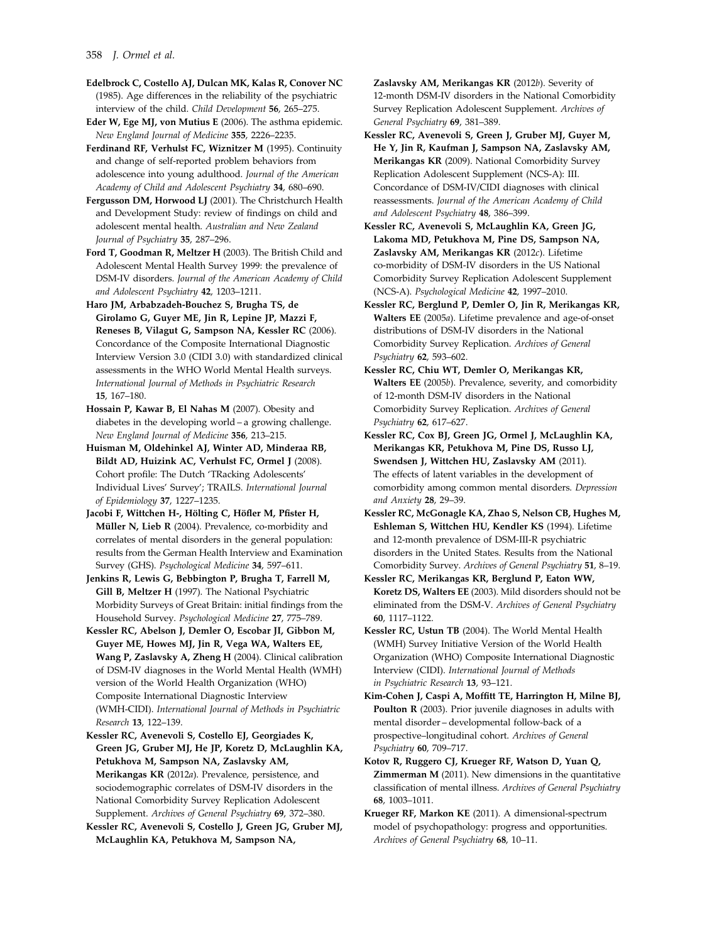<span id="page-13-0"></span>Edelbrock C, Costello AJ, Dulcan MK, Kalas R, Conover NC (1985). Age differences in the reliability of the psychiatric interview of the child. Child Development 56, 265–275.

Eder W, Ege MJ, von Mutius E (2006). The asthma epidemic. New England Journal of Medicine 355, 2226–2235.

Ferdinand RF, Verhulst FC, Wiznitzer M (1995). Continuity and change of self-reported problem behaviors from adolescence into young adulthood. Journal of the American Academy of Child and Adolescent Psychiatry 34, 680–690.

Fergusson DM, Horwood LJ (2001). The Christchurch Health and Development Study: review of findings on child and adolescent mental health. Australian and New Zealand Journal of Psychiatry 35, 287–296.

Ford T, Goodman R, Meltzer H (2003). The British Child and Adolescent Mental Health Survey 1999: the prevalence of DSM-IV disorders. Journal of the American Academy of Child and Adolescent Psychiatry 42, 1203–1211.

Haro JM, Arbabzadeh-Bouchez S, Brugha TS, de Girolamo G, Guyer ME, Jin R, Lepine JP, Mazzi F, Reneses B, Vilagut G, Sampson NA, Kessler RC (2006). Concordance of the Composite International Diagnostic Interview Version 3.0 (CIDI 3.0) with standardized clinical assessments in the WHO World Mental Health surveys. International Journal of Methods in Psychiatric Research 15, 167–180.

Hossain P, Kawar B, El Nahas M (2007). Obesity and diabetes in the developing world – a growing challenge. New England Journal of Medicine 356, 213–215.

Huisman M, Oldehinkel AJ, Winter AD, Minderaa RB, Bildt AD, Huizink AC, Verhulst FC, Ormel J (2008). Cohort profile: The Dutch 'TRacking Adolescents' Individual Lives' Survey'; TRAILS. International Journal of Epidemiology 37, 1227–1235.

Jacobi F, Wittchen H-, Hölting C, Höfler M, Pfister H, Müller N, Lieb R (2004). Prevalence, co-morbidity and correlates of mental disorders in the general population: results from the German Health Interview and Examination Survey (GHS). Psychological Medicine 34, 597–611.

Jenkins R, Lewis G, Bebbington P, Brugha T, Farrell M, Gill B, Meltzer H (1997). The National Psychiatric Morbidity Surveys of Great Britain: initial findings from the Household Survey. Psychological Medicine 27, 775–789.

Kessler RC, Abelson J, Demler O, Escobar JI, Gibbon M, Guyer ME, Howes MJ, Jin R, Vega WA, Walters EE, Wang P, Zaslavsky A, Zheng H (2004). Clinical calibration of DSM-IV diagnoses in the World Mental Health (WMH) version of the World Health Organization (WHO) Composite International Diagnostic Interview (WMH-CIDI). International Journal of Methods in Psychiatric Research 13, 122–139.

Kessler RC, Avenevoli S, Costello EJ, Georgiades K, Green JG, Gruber MJ, He JP, Koretz D, McLaughlin KA, Petukhova M, Sampson NA, Zaslavsky AM, Merikangas KR (2012a). Prevalence, persistence, and sociodemographic correlates of DSM-IV disorders in the National Comorbidity Survey Replication Adolescent Supplement. Archives of General Psychiatry 69, 372–380.

Kessler RC, Avenevoli S, Costello J, Green JG, Gruber MJ, McLaughlin KA, Petukhova M, Sampson NA,

Zaslavsky AM, Merikangas KR (2012b). Severity of 12-month DSM-IV disorders in the National Comorbidity Survey Replication Adolescent Supplement. Archives of General Psychiatry 69, 381–389.

Kessler RC, Avenevoli S, Green J, Gruber MJ, Guyer M, He Y, Jin R, Kaufman J, Sampson NA, Zaslavsky AM, Merikangas KR (2009). National Comorbidity Survey Replication Adolescent Supplement (NCS-A): III. Concordance of DSM-IV/CIDI diagnoses with clinical reassessments. Journal of the American Academy of Child and Adolescent Psychiatry 48, 386–399.

Kessler RC, Avenevoli S, McLaughlin KA, Green JG, Lakoma MD, Petukhova M, Pine DS, Sampson NA, Zaslavsky AM, Merikangas KR (2012c). Lifetime co-morbidity of DSM-IV disorders in the US National Comorbidity Survey Replication Adolescent Supplement (NCS-A). Psychological Medicine 42, 1997–2010.

Kessler RC, Berglund P, Demler O, Jin R, Merikangas KR, Walters EE (2005a). Lifetime prevalence and age-of-onset distributions of DSM-IV disorders in the National Comorbidity Survey Replication. Archives of General Psychiatry 62, 593–602.

Kessler RC, Chiu WT, Demler O, Merikangas KR, Walters EE (2005b). Prevalence, severity, and comorbidity of 12-month DSM-IV disorders in the National Comorbidity Survey Replication. Archives of General Psychiatry 62, 617–627.

Kessler RC, Cox BJ, Green JG, Ormel J, McLaughlin KA, Merikangas KR, Petukhova M, Pine DS, Russo LJ, Swendsen J, Wittchen HU, Zaslavsky AM (2011). The effects of latent variables in the development of comorbidity among common mental disorders. Depression and Anxiety 28, 29–39.

Kessler RC, McGonagle KA, Zhao S, Nelson CB, Hughes M, Eshleman S, Wittchen HU, Kendler KS (1994). Lifetime and 12-month prevalence of DSM-III-R psychiatric disorders in the United States. Results from the National Comorbidity Survey. Archives of General Psychiatry 51, 8–19.

Kessler RC, Merikangas KR, Berglund P, Eaton WW, Koretz DS, Walters EE (2003). Mild disorders should not be eliminated from the DSM-V. Archives of General Psychiatry 60, 1117–1122.

Kessler RC, Ustun TB (2004). The World Mental Health (WMH) Survey Initiative Version of the World Health Organization (WHO) Composite International Diagnostic Interview (CIDI). International Journal of Methods in Psychiatric Research 13, 93–121.

Kim-Cohen J, Caspi A, Moffitt TE, Harrington H, Milne BJ, Poulton R (2003). Prior juvenile diagnoses in adults with mental disorder – developmental follow-back of a prospective–longitudinal cohort. Archives of General Psychiatry 60, 709–717.

Kotov R, Ruggero CJ, Krueger RF, Watson D, Yuan Q, Zimmerman M (2011). New dimensions in the quantitative classification of mental illness. Archives of General Psychiatry 68, 1003–1011.

Krueger RF, Markon KE (2011). A dimensional-spectrum model of psychopathology: progress and opportunities. Archives of General Psychiatry 68, 10–11.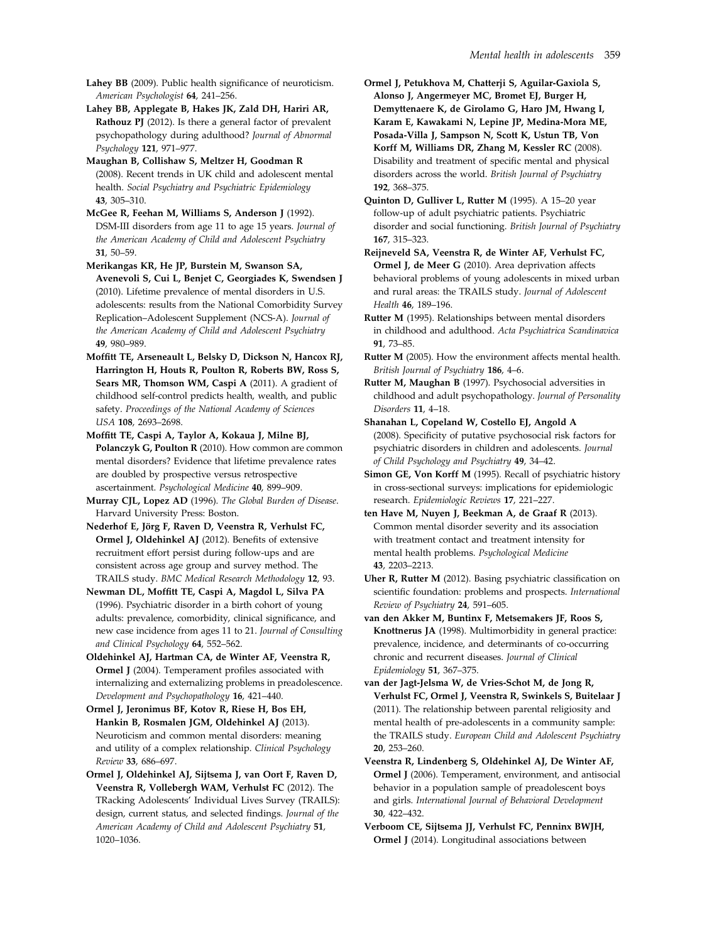<span id="page-14-0"></span>Lahey BB (2009). Public health significance of neuroticism. American Psychologist 64, 241–256.

Lahey BB, Applegate B, Hakes JK, Zald DH, Hariri AR, Rathouz PJ (2012). Is there a general factor of prevalent psychopathology during adulthood? Journal of Abnormal Psychology 121, 971–977.

Maughan B, Collishaw S, Meltzer H, Goodman R (2008). Recent trends in UK child and adolescent mental health. Social Psychiatry and Psychiatric Epidemiology 43, 305–310.

McGee R, Feehan M, Williams S, Anderson J (1992). DSM-III disorders from age 11 to age 15 years. Journal of the American Academy of Child and Adolescent Psychiatry 31, 50–59.

Merikangas KR, He JP, Burstein M, Swanson SA, Avenevoli S, Cui L, Benjet C, Georgiades K, Swendsen J (2010). Lifetime prevalence of mental disorders in U.S. adolescents: results from the National Comorbidity Survey Replication–Adolescent Supplement (NCS-A). Journal of the American Academy of Child and Adolescent Psychiatry 49, 980–989.

Moffitt TE, Arseneault L, Belsky D, Dickson N, Hancox RJ, Harrington H, Houts R, Poulton R, Roberts BW, Ross S, Sears MR, Thomson WM, Caspi A (2011). A gradient of childhood self-control predicts health, wealth, and public safety. Proceedings of the National Academy of Sciences USA 108, 2693–2698.

Moffitt TE, Caspi A, Taylor A, Kokaua J, Milne BJ, Polanczyk G, Poulton R (2010). How common are common mental disorders? Evidence that lifetime prevalence rates are doubled by prospective versus retrospective ascertainment. Psychological Medicine 40, 899–909.

Murray CJL, Lopez AD (1996). The Global Burden of Disease. Harvard University Press: Boston.

Nederhof E, Jörg F, Raven D, Veenstra R, Verhulst FC, Ormel J, Oldehinkel AJ (2012). Benefits of extensive recruitment effort persist during follow-ups and are consistent across age group and survey method. The TRAILS study. BMC Medical Research Methodology 12, 93.

Newman DL, Moffitt TE, Caspi A, Magdol L, Silva PA (1996). Psychiatric disorder in a birth cohort of young adults: prevalence, comorbidity, clinical significance, and new case incidence from ages 11 to 21. Journal of Consulting and Clinical Psychology 64, 552–562.

Oldehinkel AJ, Hartman CA, de Winter AF, Veenstra R, Ormel J (2004). Temperament profiles associated with internalizing and externalizing problems in preadolescence. Development and Psychopathology 16, 421–440.

Ormel J, Jeronimus BF, Kotov R, Riese H, Bos EH, Hankin B, Rosmalen JGM, Oldehinkel AJ (2013). Neuroticism and common mental disorders: meaning and utility of a complex relationship. Clinical Psychology Review 33, 686–697.

Ormel J, Oldehinkel AJ, Sijtsema J, van Oort F, Raven D, Veenstra R, Vollebergh WAM, Verhulst FC (2012). The TRacking Adolescents' Individual Lives Survey (TRAILS): design, current status, and selected findings. Journal of the American Academy of Child and Adolescent Psychiatry 51, 1020–1036.

Ormel J, Petukhova M, Chatterji S, Aguilar-Gaxiola S, Alonso J, Angermeyer MC, Bromet EJ, Burger H, Demyttenaere K, de Girolamo G, Haro JM, Hwang I, Karam E, Kawakami N, Lepine JP, Medina-Mora ME, Posada-Villa J, Sampson N, Scott K, Ustun TB, Von Korff M, Williams DR, Zhang M, Kessler RC (2008). Disability and treatment of specific mental and physical disorders across the world. British Journal of Psychiatry 192, 368–375.

Quinton D, Gulliver L, Rutter M (1995). A 15–20 year follow-up of adult psychiatric patients. Psychiatric disorder and social functioning. British Journal of Psychiatry 167, 315–323.

Reijneveld SA, Veenstra R, de Winter AF, Verhulst FC, Ormel J, de Meer G (2010). Area deprivation affects behavioral problems of young adolescents in mixed urban and rural areas: the TRAILS study. Journal of Adolescent Health 46, 189–196.

Rutter M (1995). Relationships between mental disorders in childhood and adulthood. Acta Psychiatrica Scandinavica 91, 73–85.

Rutter M (2005). How the environment affects mental health. British Journal of Psychiatry 186, 4–6.

Rutter M, Maughan B (1997). Psychosocial adversities in childhood and adult psychopathology. Journal of Personality Disorders 11, 4–18.

Shanahan L, Copeland W, Costello EJ, Angold A (2008). Specificity of putative psychosocial risk factors for psychiatric disorders in children and adolescents. Journal of Child Psychology and Psychiatry 49, 34–42.

Simon GE, Von Korff M (1995). Recall of psychiatric history in cross-sectional surveys: implications for epidemiologic research. Epidemiologic Reviews 17, 221–227.

ten Have M, Nuyen J, Beekman A, de Graaf R (2013). Common mental disorder severity and its association with treatment contact and treatment intensity for mental health problems. Psychological Medicine 43, 2203–2213.

Uher R, Rutter M (2012). Basing psychiatric classification on scientific foundation: problems and prospects. International Review of Psychiatry 24, 591–605.

van den Akker M, Buntinx F, Metsemakers JF, Roos S, Knottnerus JA (1998). Multimorbidity in general practice: prevalence, incidence, and determinants of co-occurring chronic and recurrent diseases. Journal of Clinical Epidemiology 51, 367–375.

van der Jagt-Jelsma W, de Vries-Schot M, de Jong R, Verhulst FC, Ormel J, Veenstra R, Swinkels S, Buitelaar J (2011). The relationship between parental religiosity and mental health of pre-adolescents in a community sample: the TRAILS study. European Child and Adolescent Psychiatry 20, 253–260.

Veenstra R, Lindenberg S, Oldehinkel AJ, De Winter AF, Ormel J (2006). Temperament, environment, and antisocial behavior in a population sample of preadolescent boys and girls. International Journal of Behavioral Development 30, 422–432.

Verboom CE, Sijtsema JJ, Verhulst FC, Penninx BWJH, Ormel J (2014). Longitudinal associations between